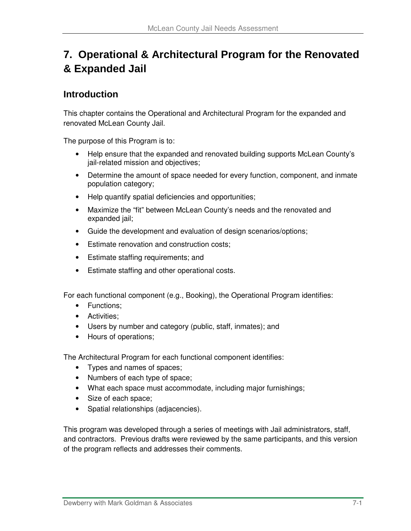# **7. Operational & Architectural Program for the Renovated & Expanded Jail**

## **Introduction**

This chapter contains the Operational and Architectural Program for the expanded and renovated McLean County Jail.

The purpose of this Program is to:

- Help ensure that the expanded and renovated building supports McLean County's jail-related mission and objectives;
- Determine the amount of space needed for every function, component, and inmate population category;
- Help quantify spatial deficiencies and opportunities;
- Maximize the "fit" between McLean County's needs and the renovated and expanded jail;
- Guide the development and evaluation of design scenarios/options;
- Estimate renovation and construction costs:
- Estimate staffing requirements; and
- Estimate staffing and other operational costs.

For each functional component (e.g., Booking), the Operational Program identifies:

- Functions;
- Activities;
- Users by number and category (public, staff, inmates); and
- Hours of operations;

The Architectural Program for each functional component identifies:

- Types and names of spaces;
- Numbers of each type of space;
- What each space must accommodate, including major furnishings;
- Size of each space;
- Spatial relationships (adjacencies).

This program was developed through a series of meetings with Jail administrators, staff, and contractors. Previous drafts were reviewed by the same participants, and this version of the program reflects and addresses their comments.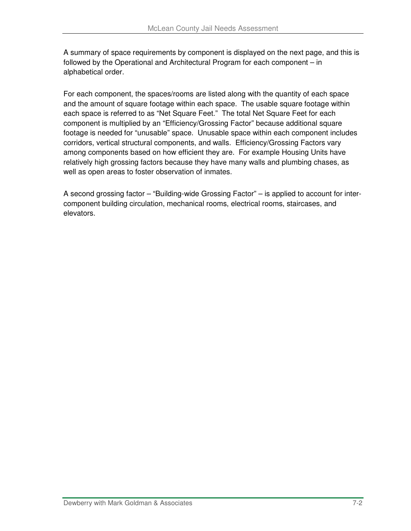A summary of space requirements by component is displayed on the next page, and this is followed by the Operational and Architectural Program for each component – in alphabetical order.

For each component, the spaces/rooms are listed along with the quantity of each space and the amount of square footage within each space. The usable square footage within each space is referred to as "Net Square Feet." The total Net Square Feet for each component is multiplied by an "Efficiency/Grossing Factor" because additional square footage is needed for "unusable" space. Unusable space within each component includes corridors, vertical structural components, and walls. Efficiency/Grossing Factors vary among components based on how efficient they are. For example Housing Units have relatively high grossing factors because they have many walls and plumbing chases, as well as open areas to foster observation of inmates.

A second grossing factor – "Building-wide Grossing Factor" – is applied to account for intercomponent building circulation, mechanical rooms, electrical rooms, staircases, and elevators.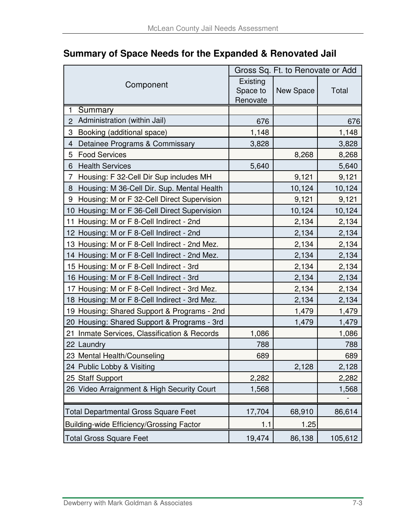|                                                 | Gross Sq. Ft. to Renovate or Add |           |         |  |  |
|-------------------------------------------------|----------------------------------|-----------|---------|--|--|
| Component                                       | Existing                         |           |         |  |  |
|                                                 | Space to<br>Renovate             | New Space | Total   |  |  |
| Summary<br>1                                    |                                  |           |         |  |  |
| Administration (within Jail)<br>$\overline{2}$  | 676                              |           | 676     |  |  |
| Booking (additional space)<br>3                 | 1,148                            |           | 1,148   |  |  |
| Detainee Programs & Commissary<br>4             | 3,828                            |           | 3,828   |  |  |
| <b>Food Services</b><br>5                       |                                  | 8,268     | 8,268   |  |  |
| <b>Health Services</b><br>6                     | 5,640                            |           | 5,640   |  |  |
| Housing: F 32-Cell Dir Sup includes MH<br>7     |                                  | 9,121     | 9,121   |  |  |
| Housing: M 36-Cell Dir. Sup. Mental Health<br>8 |                                  | 10,124    | 10,124  |  |  |
| Housing: M or F 32-Cell Direct Supervision<br>9 |                                  | 9,121     | 9,121   |  |  |
| 10 Housing: M or F 36-Cell Direct Supervision   |                                  | 10,124    | 10,124  |  |  |
| 11 Housing: M or F 8-Cell Indirect - 2nd        |                                  | 2,134     | 2,134   |  |  |
| 12 Housing: M or F 8-Cell Indirect - 2nd        |                                  | 2,134     | 2,134   |  |  |
| 13 Housing: M or F 8-Cell Indirect - 2nd Mez.   |                                  | 2,134     | 2,134   |  |  |
| 14 Housing: M or F 8-Cell Indirect - 2nd Mez.   |                                  | 2,134     | 2,134   |  |  |
| 15 Housing: M or F 8-Cell Indirect - 3rd        |                                  | 2,134     | 2,134   |  |  |
| 16 Housing: M or F 8-Cell Indirect - 3rd        |                                  | 2,134     | 2,134   |  |  |
| 17 Housing: M or F 8-Cell Indirect - 3rd Mez.   |                                  | 2,134     | 2,134   |  |  |
| 18 Housing: M or F 8-Cell Indirect - 3rd Mez.   |                                  | 2,134     | 2,134   |  |  |
| 19 Housing: Shared Support & Programs - 2nd     |                                  | 1,479     | 1,479   |  |  |
| 20 Housing: Shared Support & Programs - 3rd     |                                  | 1,479     | 1,479   |  |  |
| 21<br>Inmate Services, Classification & Records | 1,086                            |           | 1,086   |  |  |
| 22 Laundry                                      | 788                              |           | 788     |  |  |
| 23 Mental Health/Counseling                     | 689                              |           | 689     |  |  |
| 24 Public Lobby & Visiting                      |                                  | 2,128     | 2,128   |  |  |
| 25 Staff Support                                | 2,282                            |           | 2,282   |  |  |
| 26 Video Arraignment & High Security Court      | 1,568                            |           | 1,568   |  |  |
|                                                 |                                  |           |         |  |  |
| <b>Total Departmental Gross Square Feet</b>     | 17,704                           | 68,910    | 86,614  |  |  |
| Building-wide Efficiency/Grossing Factor        | 1.1                              | 1.25      |         |  |  |
| <b>Total Gross Square Feet</b>                  | 19,474                           | 86,138    | 105,612 |  |  |

## **Summary of Space Needs for the Expanded & Renovated Jail**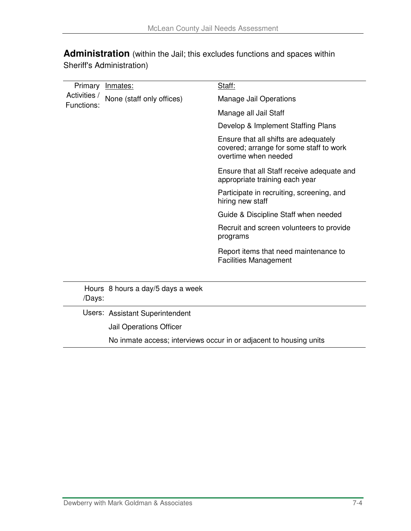**Administration** (within the Jail; this excludes functions and spaces within Sheriff's Administration)

| Primary                    | <u>Inmates:</u>                                                    | Staff:                                                                                                   |  |  |  |  |
|----------------------------|--------------------------------------------------------------------|----------------------------------------------------------------------------------------------------------|--|--|--|--|
| Activities /<br>Functions: | None (staff only offices)                                          | <b>Manage Jail Operations</b>                                                                            |  |  |  |  |
|                            |                                                                    | Manage all Jail Staff                                                                                    |  |  |  |  |
|                            |                                                                    | Develop & Implement Staffing Plans                                                                       |  |  |  |  |
|                            |                                                                    | Ensure that all shifts are adequately<br>covered; arrange for some staff to work<br>overtime when needed |  |  |  |  |
|                            |                                                                    | Ensure that all Staff receive adequate and<br>appropriate training each year                             |  |  |  |  |
|                            |                                                                    | Participate in recruiting, screening, and<br>hiring new staff                                            |  |  |  |  |
|                            |                                                                    | Guide & Discipline Staff when needed                                                                     |  |  |  |  |
|                            |                                                                    | Recruit and screen volunteers to provide<br>programs                                                     |  |  |  |  |
|                            |                                                                    | Report items that need maintenance to<br><b>Facilities Management</b>                                    |  |  |  |  |
| /Days:                     | Hours 8 hours a day/5 days a week                                  |                                                                                                          |  |  |  |  |
|                            | Users: Assistant Superintendent                                    |                                                                                                          |  |  |  |  |
|                            | Jail Operations Officer                                            |                                                                                                          |  |  |  |  |
|                            | No inmate access; interviews occur in or adjacent to housing units |                                                                                                          |  |  |  |  |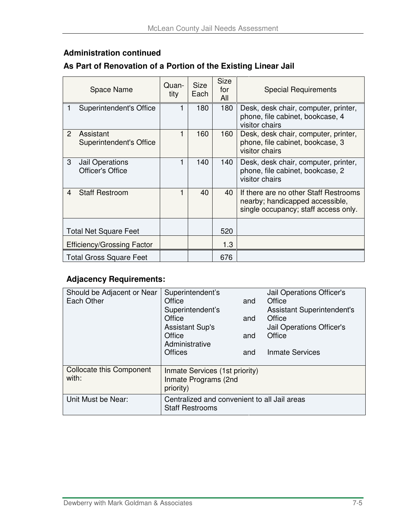### **Administration continued**

## **As Part of Renovation of a Portion of the Existing Linear Jail**

|                | <b>Space Name</b>                    | Quan-<br>tity | <b>Size</b><br>Each | <b>Size</b><br>for<br>All | <b>Special Requirements</b>                                                                                      |
|----------------|--------------------------------------|---------------|---------------------|---------------------------|------------------------------------------------------------------------------------------------------------------|
|                | Superintendent's Office              | 1             | 180                 | 180                       | Desk, desk chair, computer, printer,<br>phone, file cabinet, bookcase, 4<br>visitor chairs                       |
| $\overline{2}$ | Assistant<br>Superintendent's Office | 1             | 160                 | 160                       | Desk, desk chair, computer, printer,<br>phone, file cabinet, bookcase, 3<br>visitor chairs                       |
| 3              | Jail Operations<br>Officer's Office  | 1             | 140                 | 140                       | Desk, desk chair, computer, printer,<br>phone, file cabinet, bookcase, 2<br>visitor chairs                       |
| 4              | <b>Staff Restroom</b>                | 1             | 40                  | 40                        | If there are no other Staff Restrooms<br>nearby; handicapped accessible,<br>single occupancy; staff access only. |
|                | <b>Total Net Square Feet</b>         |               |                     | 520                       |                                                                                                                  |
|                | <b>Efficiency/Grossing Factor</b>    |               |                     | 1.3                       |                                                                                                                  |
|                | <b>Total Gross Square Feet</b>       |               |                     | 676                       |                                                                                                                  |

| Should be Adjacent or Near      | Superintendent's                             |     | Jail Operations Officer's         |  |
|---------------------------------|----------------------------------------------|-----|-----------------------------------|--|
| Each Other                      | Office                                       | and | Office                            |  |
|                                 | Superintendent's                             |     | <b>Assistant Superintendent's</b> |  |
|                                 | Office                                       | and | Office                            |  |
|                                 | <b>Assistant Sup's</b>                       |     | Jail Operations Officer's         |  |
|                                 | Office                                       | and | Office                            |  |
|                                 | Administrative                               |     |                                   |  |
|                                 | <b>Offices</b>                               | and | <b>Inmate Services</b>            |  |
|                                 |                                              |     |                                   |  |
| <b>Collocate this Component</b> | Inmate Services (1st priority)               |     |                                   |  |
| with:                           | Inmate Programs (2nd                         |     |                                   |  |
|                                 | priority)                                    |     |                                   |  |
| Unit Must be Near:              | Centralized and convenient to all Jail areas |     |                                   |  |
|                                 | <b>Staff Restrooms</b>                       |     |                                   |  |
|                                 |                                              |     |                                   |  |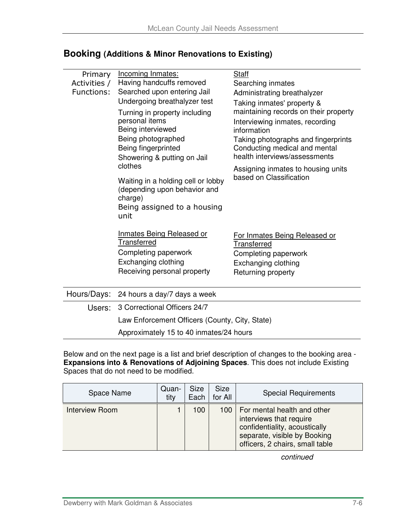| Primary<br>Activities /<br>Functions: | Incoming Inmates:<br>Having handcuffs removed<br>Searched upon entering Jail<br>Undergoing breathalyzer test<br>Turning in property including<br>personal items<br>Being interviewed<br>Being photographed<br>Being fingerprinted<br>Showering & putting on Jail<br>clothes<br>Waiting in a holding cell or lobby<br>(depending upon behavior and<br>charge) | <b>Staff</b><br>Searching inmates<br>Administrating breathalyzer<br>Taking inmates' property &<br>maintaining records on their property<br>Interviewing inmates, recording<br>information<br>Taking photographs and fingerprints<br>Conducting medical and mental<br>health interviews/assessments<br>Assigning inmates to housing units<br>based on Classification |
|---------------------------------------|--------------------------------------------------------------------------------------------------------------------------------------------------------------------------------------------------------------------------------------------------------------------------------------------------------------------------------------------------------------|---------------------------------------------------------------------------------------------------------------------------------------------------------------------------------------------------------------------------------------------------------------------------------------------------------------------------------------------------------------------|
|                                       | Being assigned to a housing<br>unit<br><b>Inmates Being Released or</b><br><b>Transferred</b><br>Completing paperwork<br>Exchanging clothing<br>Receiving personal property                                                                                                                                                                                  | For Inmates Being Released or<br>Transferred<br>Completing paperwork<br>Exchanging clothing<br>Returning property                                                                                                                                                                                                                                                   |
| Hours/Days:                           | 24 hours a day/7 days a week                                                                                                                                                                                                                                                                                                                                 |                                                                                                                                                                                                                                                                                                                                                                     |
| Users:                                | 3 Correctional Officers 24/7                                                                                                                                                                                                                                                                                                                                 |                                                                                                                                                                                                                                                                                                                                                                     |
|                                       | Law Enforcement Officers (County, City, State)                                                                                                                                                                                                                                                                                                               |                                                                                                                                                                                                                                                                                                                                                                     |

### **Booking (Additions & Minor Renovations to Existing)**

Approximately 15 to 40 inmates/24 hours

Below and on the next page is a list and brief description of changes to the booking area - **Expansions into & Renovations of Adjoining Spaces**. This does not include Existing Spaces that do not need to be modified.

| Space Name            | Quan-<br>tity | <b>Size</b><br>Each | <b>Size</b><br>for All | <b>Special Requirements</b>                                                                                                                                      |
|-----------------------|---------------|---------------------|------------------------|------------------------------------------------------------------------------------------------------------------------------------------------------------------|
| <b>Interview Room</b> |               | 100                 |                        | 100   For mental health and other<br>interviews that require<br>confidentiality, acoustically<br>separate, visible by Booking<br>officers, 2 chairs, small table |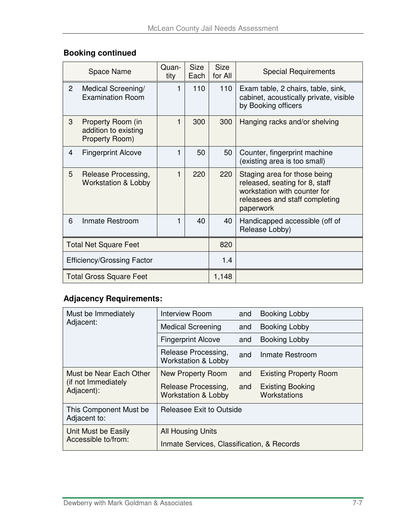## **Booking continued**

|                | Space Name                                                  | Quan-<br>tity | <b>Size</b><br>Each | <b>Size</b><br>for All | <b>Special Requirements</b>                                                                                                                   |
|----------------|-------------------------------------------------------------|---------------|---------------------|------------------------|-----------------------------------------------------------------------------------------------------------------------------------------------|
| $\overline{2}$ | Medical Screening/<br><b>Examination Room</b>               | 1             | 110                 | 110                    | Exam table, 2 chairs, table, sink,<br>cabinet, acoustically private, visible<br>by Booking officers                                           |
| 3              | Property Room (in<br>addition to existing<br>Property Room) | 1             | 300                 | 300                    | Hanging racks and/or shelving                                                                                                                 |
| 4              | <b>Fingerprint Alcove</b>                                   | 1             | 50                  | 50                     | Counter, fingerprint machine<br>(existing area is too small)                                                                                  |
| 5              | Release Processing,<br><b>Workstation &amp; Lobby</b>       | 1             | 220                 | 220                    | Staging area for those being<br>released, seating for 8, staff<br>workstation with counter for<br>releasees and staff completing<br>paperwork |
| 6              | Inmate Restroom                                             | 1             | 40                  | 40                     | Handicapped accessible (off of<br>Release Lobby)                                                                                              |
|                | <b>Total Net Square Feet</b>                                |               |                     | 820                    |                                                                                                                                               |
|                | <b>Efficiency/Grossing Factor</b>                           |               |                     | 1.4                    |                                                                                                                                               |
|                | <b>Total Gross Square Feet</b>                              |               |                     | 1,148                  |                                                                                                                                               |

| Must be Immediately                    | <b>Interview Room</b>                                 | and                    | <b>Booking Lobby</b>                    |  |  |
|----------------------------------------|-------------------------------------------------------|------------------------|-----------------------------------------|--|--|
| Adjacent:                              | <b>Medical Screening</b>                              | and                    | Booking Lobby                           |  |  |
|                                        | <b>Fingerprint Alcove</b>                             | and                    | Booking Lobby                           |  |  |
|                                        | Release Processing,<br><b>Workstation &amp; Lobby</b> | Inmate Restroom<br>and |                                         |  |  |
| Must be Near Each Other                | New Property Room                                     | and                    | <b>Existing Property Room</b>           |  |  |
| (if not Immediately<br>Adjacent):      | Release Processing,<br><b>Workstation &amp; Lobby</b> | and                    | <b>Existing Booking</b><br>Workstations |  |  |
| This Component Must be<br>Adjacent to: | Releasee Exit to Outside                              |                        |                                         |  |  |
| Unit Must be Easily                    | All Housing Units                                     |                        |                                         |  |  |
| Accessible to/from:                    | Inmate Services, Classification, & Records            |                        |                                         |  |  |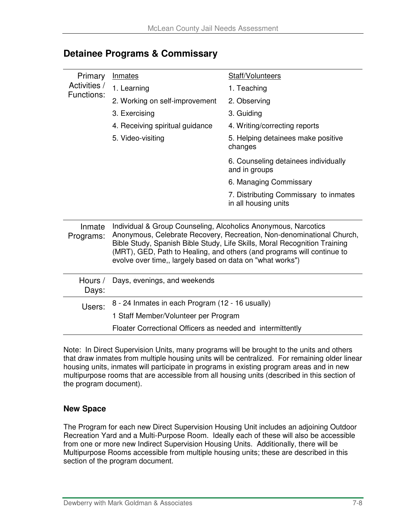| Primary             | Inmates                                                                                                                     | Staff/Volunteers                                                                                                                                                                                                             |
|---------------------|-----------------------------------------------------------------------------------------------------------------------------|------------------------------------------------------------------------------------------------------------------------------------------------------------------------------------------------------------------------------|
| Activities /        | 1. Learning                                                                                                                 | 1. Teaching                                                                                                                                                                                                                  |
| Functions:          | 2. Working on self-improvement                                                                                              | 2. Observing                                                                                                                                                                                                                 |
|                     | 3. Exercising                                                                                                               | 3. Guiding                                                                                                                                                                                                                   |
|                     | 4. Receiving spiritual guidance                                                                                             | 4. Writing/correcting reports                                                                                                                                                                                                |
|                     | 5. Video-visiting                                                                                                           | 5. Helping detainees make positive<br>changes                                                                                                                                                                                |
|                     |                                                                                                                             | 6. Counseling detainees individually<br>and in groups                                                                                                                                                                        |
|                     |                                                                                                                             | 6. Managing Commissary                                                                                                                                                                                                       |
|                     |                                                                                                                             | 7. Distributing Commissary to inmates<br>in all housing units                                                                                                                                                                |
| Inmate<br>Programs: | Individual & Group Counseling, Alcoholics Anonymous, Narcotics<br>evolve over time,, largely based on data on "what works") | Anonymous, Celebrate Recovery, Recreation, Non-denominational Church,<br>Bible Study, Spanish Bible Study, Life Skills, Moral Recognition Training<br>(MRT), GED, Path to Healing, and others (and programs will continue to |
| Hours /<br>Days:    | Days, evenings, and weekends                                                                                                |                                                                                                                                                                                                                              |
| Users:              | 8 - 24 Inmates in each Program (12 - 16 usually)                                                                            |                                                                                                                                                                                                                              |
|                     | 1 Staff Member/Volunteer per Program                                                                                        |                                                                                                                                                                                                                              |
|                     | Floater Correctional Officers as needed and intermittently                                                                  |                                                                                                                                                                                                                              |

### **Detainee Programs & Commissary**

Note: In Direct Supervision Units, many programs will be brought to the units and others that draw inmates from multiple housing units will be centralized. For remaining older linear housing units, inmates will participate in programs in existing program areas and in new multipurpose rooms that are accessible from all housing units (described in this section of the program document).

#### **New Space**

The Program for each new Direct Supervision Housing Unit includes an adjoining Outdoor Recreation Yard and a Multi-Purpose Room. Ideally each of these will also be accessible from one or more new Indirect Supervision Housing Units. Additionally, there will be Multipurpose Rooms accessible from multiple housing units; these are described in this section of the program document.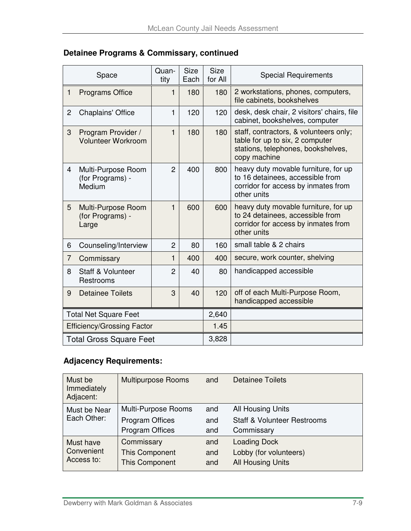| Detainee Programs & Commissary, continued |  |  |  |
|-------------------------------------------|--|--|--|
|-------------------------------------------|--|--|--|

|                                   | Space                                            | Quan-<br>tity  | <b>Size</b><br>Each | <b>Size</b><br>for All | <b>Special Requirements</b>                                                                                                     |
|-----------------------------------|--------------------------------------------------|----------------|---------------------|------------------------|---------------------------------------------------------------------------------------------------------------------------------|
| 1                                 | <b>Programs Office</b>                           | 1              | 180                 | 180                    | 2 workstations, phones, computers,<br>file cabinets, bookshelves                                                                |
| 2                                 | <b>Chaplains' Office</b>                         | 1              | 120                 | 120                    | desk, desk chair, 2 visitors' chairs, file<br>cabinet, bookshelves, computer                                                    |
| 3                                 | Program Provider /<br><b>Volunteer Workroom</b>  | 1              | 180                 | 180                    | staff, contractors, & volunteers only;<br>table for up to six, 2 computer<br>stations, telephones, bookshelves,<br>copy machine |
| $\overline{4}$                    | Multi-Purpose Room<br>(for Programs) -<br>Medium | $\overline{2}$ | 400                 | 800                    | heavy duty movable furniture, for up<br>to 16 detainees, accessible from<br>corridor for access by inmates from<br>other units  |
| 5                                 | Multi-Purpose Room<br>(for Programs) -<br>Large  | 1              | 600                 | 600                    | heavy duty movable furniture, for up<br>to 24 detainees, accessible from<br>corridor for access by inmates from<br>other units  |
| 6                                 | Counseling/Interview                             | $\overline{2}$ | 80                  | 160                    | small table & 2 chairs                                                                                                          |
| 7                                 | Commissary                                       | 1              | 400                 | 400                    | secure, work counter, shelving                                                                                                  |
| 8                                 | Staff & Volunteer<br>Restrooms                   | $\overline{2}$ | 40                  | 80                     | handicapped accessible                                                                                                          |
| 9                                 | <b>Detainee Toilets</b>                          | 3              | 40                  | 120                    | off of each Multi-Purpose Room,<br>handicapped accessible                                                                       |
|                                   | <b>Total Net Square Feet</b>                     |                |                     | 2,640                  |                                                                                                                                 |
| <b>Efficiency/Grossing Factor</b> |                                                  | 1.45           |                     |                        |                                                                                                                                 |
|                                   | <b>Total Gross Square Feet</b>                   |                |                     | 3,828                  |                                                                                                                                 |

| Must be<br>Immediately<br>Adjacent: | <b>Multipurpose Rooms</b> | and | <b>Detainee Toilets</b>                |
|-------------------------------------|---------------------------|-----|----------------------------------------|
| Must be Near                        | Multi-Purpose Rooms       | and | All Housing Units                      |
| Each Other:                         | <b>Program Offices</b>    | and | <b>Staff &amp; Volunteer Restrooms</b> |
|                                     | <b>Program Offices</b>    | and | Commissary                             |
| Must have                           | Commissary                | and | <b>Loading Dock</b>                    |
| Convenient                          | <b>This Component</b>     | and | Lobby (for volunteers)                 |
| Access to:                          | <b>This Component</b>     | and | <b>All Housing Units</b>               |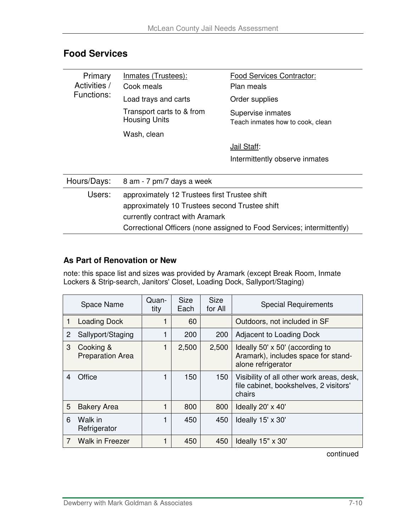| Primary<br>Activities /                                                | Inmates (Trustees):<br>Cook meals                 | Food Services Contractor:<br>Plan meals               |  |  |  |  |
|------------------------------------------------------------------------|---------------------------------------------------|-------------------------------------------------------|--|--|--|--|
| Functions:                                                             | Load trays and carts                              | Order supplies                                        |  |  |  |  |
|                                                                        | Transport carts to & from<br><b>Housing Units</b> | Supervise inmates<br>Teach inmates how to cook, clean |  |  |  |  |
|                                                                        | Wash, clean                                       |                                                       |  |  |  |  |
|                                                                        |                                                   | Jail Staff:                                           |  |  |  |  |
|                                                                        |                                                   | Intermittently observe inmates                        |  |  |  |  |
|                                                                        |                                                   |                                                       |  |  |  |  |
| Hours/Days:                                                            | 8 am - 7 pm/7 days a week                         |                                                       |  |  |  |  |
| Users:                                                                 | approximately 12 Trustees first Trustee shift     |                                                       |  |  |  |  |
|                                                                        | approximately 10 Trustees second Trustee shift    |                                                       |  |  |  |  |
|                                                                        | currently contract with Aramark                   |                                                       |  |  |  |  |
| Correctional Officers (none assigned to Food Services; intermittently) |                                                   |                                                       |  |  |  |  |

## **Food Services**

#### **As Part of Renovation or New**

note: this space list and sizes was provided by Aramark (except Break Room, Inmate Lockers & Strip-search, Janitors' Closet, Loading Dock, Sallyport/Staging)

|   | Space Name                           | Quan-<br>tity | <b>Size</b><br>Each | <b>Size</b><br>for All | <b>Special Requirements</b>                                                                   |
|---|--------------------------------------|---------------|---------------------|------------------------|-----------------------------------------------------------------------------------------------|
|   | <b>Loading Dock</b>                  |               | 60                  |                        | Outdoors, not included in SF                                                                  |
| 2 | Sallyport/Staging                    |               | 200                 | 200                    | Adjacent to Loading Dock                                                                      |
| 3 | Cooking &<br><b>Preparation Area</b> |               | 2,500               | 2,500                  | Ideally 50' x 50' (according to<br>Aramark), includes space for stand-<br>alone refrigerator  |
| 4 | Office                               |               | 150                 | 150                    | Visibility of all other work areas, desk,<br>file cabinet, bookshelves, 2 visitors'<br>chairs |
| 5 | <b>Bakery Area</b>                   |               | 800                 | 800                    | Ideally 20' x 40'                                                                             |
| 6 | Walk in<br>Refrigerator              |               | 450                 | 450                    | Ideally 15' x 30'                                                                             |
|   | <b>Walk in Freezer</b>               |               | 450                 | 450                    | Ideally 15" x 30"                                                                             |

continued and the continued of the continued of the continued of the continued of the continued of the continued of the continued of the continued of the continued of the continued of the continued of the continued of the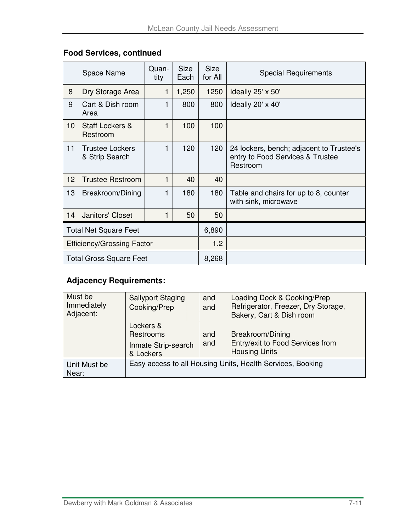### **Food Services, continued**

|                 | Space Name                               | Quan-<br>tity | <b>Size</b><br>Each | <b>Size</b><br>for All | <b>Special Requirements</b>                                                              |
|-----------------|------------------------------------------|---------------|---------------------|------------------------|------------------------------------------------------------------------------------------|
| 8               | Dry Storage Area                         | 1             | 1,250               | 1250                   | Ideally 25' x 50'                                                                        |
| 9               | Cart & Dish room<br>Area                 | 1             | 800                 | 800                    | Ideally 20' x 40'                                                                        |
| 10 <sup>1</sup> | Staff Lockers &<br>Restroom              | 1             | 100                 | 100                    |                                                                                          |
| 11              | <b>Trustee Lockers</b><br>& Strip Search | 1             | 120                 | 120                    | 24 lockers, bench; adjacent to Trustee's<br>entry to Food Services & Trustee<br>Restroom |
| 12              | <b>Trustee Restroom</b>                  | 1             | 40                  | 40                     |                                                                                          |
| 13              | Breakroom/Dining                         | 1             | 180                 | 180                    | Table and chairs for up to 8, counter<br>with sink, microwave                            |
| 14              | Janitors' Closet                         | 1             | 50                  | 50                     |                                                                                          |
|                 | <b>Total Net Square Feet</b>             |               |                     | 6,890                  |                                                                                          |
|                 | <b>Efficiency/Grossing Factor</b>        |               |                     | 1.2                    |                                                                                          |
|                 | <b>Total Gross Square Feet</b>           |               |                     | 8,268                  |                                                                                          |

| Must be<br>Immediately<br>Adjacent: | <b>Sallyport Staging</b><br>Cooking/Prep                   | and<br>and | Loading Dock & Cooking/Prep<br>Refrigerator, Freezer, Dry Storage,<br>Bakery, Cart & Dish room |
|-------------------------------------|------------------------------------------------------------|------------|------------------------------------------------------------------------------------------------|
|                                     | Lockers &<br>Restrooms<br>Inmate Strip-search<br>& Lockers | and<br>and | Breakroom/Dining<br>Entry/exit to Food Services from<br><b>Housing Units</b>                   |
| Unit Must be<br>Near:               |                                                            |            | Easy access to all Housing Units, Health Services, Booking                                     |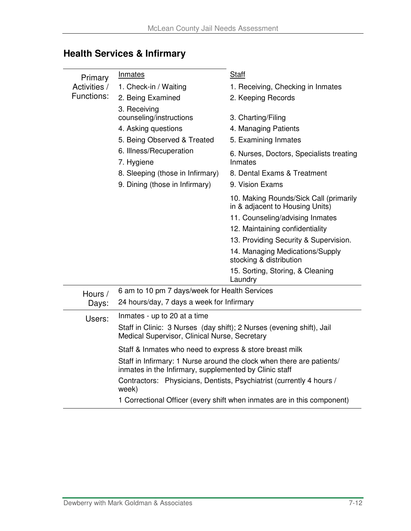| Primary      | Inmates                                                                                                                         | <b>Staff</b>                                                              |  |  |  |  |  |
|--------------|---------------------------------------------------------------------------------------------------------------------------------|---------------------------------------------------------------------------|--|--|--|--|--|
| Activities / | 1. Check-in / Waiting                                                                                                           | 1. Receiving, Checking in Inmates                                         |  |  |  |  |  |
| Functions:   | 2. Being Examined                                                                                                               | 2. Keeping Records                                                        |  |  |  |  |  |
|              | 3. Receiving                                                                                                                    |                                                                           |  |  |  |  |  |
|              | counseling/instructions                                                                                                         | 3. Charting/Filing                                                        |  |  |  |  |  |
|              | 4. Asking questions                                                                                                             | 4. Managing Patients                                                      |  |  |  |  |  |
|              | 5. Being Observed & Treated                                                                                                     | 5. Examining Inmates                                                      |  |  |  |  |  |
|              | 6. Illness/Recuperation<br>7. Hygiene                                                                                           | 6. Nurses, Doctors, Specialists treating<br>Inmates                       |  |  |  |  |  |
|              | 8. Sleeping (those in Infirmary)                                                                                                | 8. Dental Exams & Treatment                                               |  |  |  |  |  |
|              | 9. Dining (those in Infirmary)                                                                                                  | 9. Vision Exams                                                           |  |  |  |  |  |
|              |                                                                                                                                 | 10. Making Rounds/Sick Call (primarily<br>in & adjacent to Housing Units) |  |  |  |  |  |
|              |                                                                                                                                 | 11. Counseling/advising Inmates                                           |  |  |  |  |  |
|              |                                                                                                                                 | 12. Maintaining confidentiality                                           |  |  |  |  |  |
|              |                                                                                                                                 | 13. Providing Security & Supervision.                                     |  |  |  |  |  |
|              |                                                                                                                                 | 14. Managing Medications/Supply<br>stocking & distribution                |  |  |  |  |  |
|              |                                                                                                                                 | 15. Sorting, Storing, & Cleaning<br>Laundry                               |  |  |  |  |  |
| Hours /      | 6 am to 10 pm 7 days/week for Health Services                                                                                   |                                                                           |  |  |  |  |  |
| Days:        | 24 hours/day, 7 days a week for Infirmary                                                                                       |                                                                           |  |  |  |  |  |
| Users:       | Inmates - up to 20 at a time                                                                                                    |                                                                           |  |  |  |  |  |
|              | Staff in Clinic: 3 Nurses (day shift); 2 Nurses (evening shift), Jail<br>Medical Supervisor, Clinical Nurse, Secretary          |                                                                           |  |  |  |  |  |
|              | Staff & Inmates who need to express & store breast milk                                                                         |                                                                           |  |  |  |  |  |
|              | Staff in Infirmary: 1 Nurse around the clock when there are patients/<br>inmates in the Infirmary, supplemented by Clinic staff |                                                                           |  |  |  |  |  |
|              | week)                                                                                                                           | Contractors: Physicians, Dentists, Psychiatrist (currently 4 hours /      |  |  |  |  |  |
|              | 1 Correctional Officer (every shift when inmates are in this component)                                                         |                                                                           |  |  |  |  |  |

# **Health Services & Infirmary**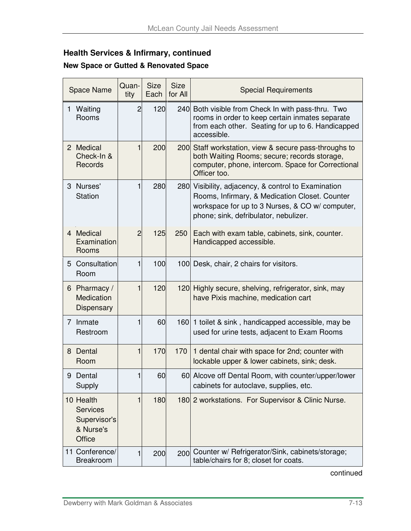## **Health Services & Infirmary, continued**

#### **New Space or Gutted & Renovated Space**

|   | <b>Space Name</b>                                                          | Quan-<br>tity  | <b>Size</b><br>Each | <b>Size</b><br>for All | <b>Special Requirements</b>                                                                                                                                                                       |  |
|---|----------------------------------------------------------------------------|----------------|---------------------|------------------------|---------------------------------------------------------------------------------------------------------------------------------------------------------------------------------------------------|--|
|   | 1 Waiting<br>Rooms                                                         | $\overline{2}$ | 120                 |                        | 240 Both visible from Check In with pass-thru. Two<br>rooms in order to keep certain inmates separate<br>from each other. Seating for up to 6. Handicapped<br>accessible.                         |  |
|   | 2 Medical<br>Check-In &<br><b>Records</b>                                  | 1              | 200                 |                        | 200 Staff workstation, view & secure pass-throughs to<br>both Waiting Rooms; secure; records storage,<br>computer, phone, intercom. Space for Correctional<br>Officer too.                        |  |
|   | 3 Nurses'<br><b>Station</b>                                                | 1              | 280                 |                        | 280 Visibility, adjacency, & control to Examination<br>Rooms, Infirmary, & Medication Closet. Counter<br>workspace for up to 3 Nurses, & CO w/ computer,<br>phone; sink, defribulator, nebulizer. |  |
|   | 4 Medical<br>Examination<br>Rooms                                          | $\overline{2}$ | 125                 | 250                    | Each with exam table, cabinets, sink, counter.<br>Handicapped accessible.                                                                                                                         |  |
|   | 5 Consultation<br>Room                                                     | $\mathbf{1}$   | 100                 |                        | 100 Desk, chair, 2 chairs for visitors.                                                                                                                                                           |  |
|   | 6 Pharmacy /<br>Medication<br>Dispensary                                   | 1              | 120                 |                        | 120 Highly secure, shelving, refrigerator, sink, may<br>have Pixis machine, medication cart                                                                                                       |  |
|   | 7 Inmate<br>Restroom                                                       | 1              | 60                  |                        | 160 1 toilet & sink, handicapped accessible, may be<br>used for urine tests, adjacent to Exam Rooms                                                                                               |  |
|   | 8 Dental<br>Room                                                           | 1              | 170                 | 170                    | 1 dental chair with space for 2nd; counter with<br>lockable upper & lower cabinets, sink; desk.                                                                                                   |  |
| 9 | Dental<br>Supply                                                           | 1              | 60                  |                        | 60 Alcove off Dental Room, with counter/upper/lower<br>cabinets for autoclave, supplies, etc.                                                                                                     |  |
|   | 10 Health<br><b>Services</b><br>Supervisor's<br>& Nurse's<br><b>Office</b> | 1              | 180                 |                        | 180 2 workstations. For Supervisor & Clinic Nurse.                                                                                                                                                |  |
|   | 11 Conference/<br><b>Breakroom</b>                                         | 1              | 200                 |                        | 200 Counter w/ Refrigerator/Sink, cabinets/storage;<br>table/chairs for 8; closet for coats.                                                                                                      |  |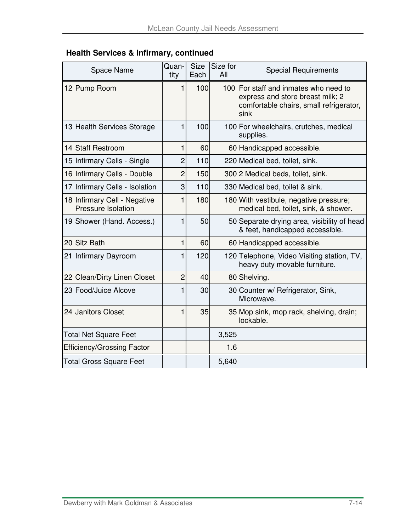| <b>Health Services &amp; Infirmary, continued</b> |  |  |  |
|---------------------------------------------------|--|--|--|
|---------------------------------------------------|--|--|--|

| <b>Space Name</b>                                  | Quan-<br>tity  | <b>Size</b><br>Each | Size for<br>All | <b>Special Requirements</b>                                                                                                  |
|----------------------------------------------------|----------------|---------------------|-----------------|------------------------------------------------------------------------------------------------------------------------------|
| 12 Pump Room                                       | 1              | 100                 |                 | 100 For staff and inmates who need to<br>express and store breast milk; 2<br>comfortable chairs, small refrigerator,<br>sink |
| 13 Health Services Storage                         | 1              | 100                 |                 | 100 For wheelchairs, crutches, medical<br>supplies.                                                                          |
| 14 Staff Restroom                                  | 1              | 60                  |                 | 60 Handicapped accessible.                                                                                                   |
| 15 Infirmary Cells - Single                        | 2              | 110                 |                 | 220 Medical bed, toilet, sink.                                                                                               |
| 16 Infirmary Cells - Double                        | $\overline{2}$ | 150                 |                 | 300 2 Medical beds, toilet, sink.                                                                                            |
| 17 Infirmary Cells - Isolation                     | 3              | 110                 |                 | 330 Medical bed, toilet & sink.                                                                                              |
| 18 Infirmary Cell - Negative<br>Pressure Isolation | 1              | 180                 |                 | 180 With vestibule, negative pressure;<br>medical bed, toilet, sink, & shower.                                               |
| 19 Shower (Hand. Access.)                          | 1              | 50                  |                 | 50 Separate drying area, visibility of head<br>& feet, handicapped accessible.                                               |
| 20 Sitz Bath                                       | 1              | 60                  |                 | 60 Handicapped accessible.                                                                                                   |
| 21 Infirmary Dayroom                               | 1              | 120                 |                 | 120 Telephone, Video Visiting station, TV,<br>heavy duty movable furniture.                                                  |
| 22 Clean/Dirty Linen Closet                        | $\overline{2}$ | 40                  |                 | 80 Shelving.                                                                                                                 |
| 23 Food/Juice Alcove                               | 1              | 30                  |                 | 30 Counter w/ Refrigerator, Sink,<br>Microwave.                                                                              |
| 24 Janitors Closet                                 | 1              | 35                  |                 | 35 Mop sink, mop rack, shelving, drain;<br>lockable.                                                                         |
| Total Net Square Feet                              |                |                     | 3,525           |                                                                                                                              |
| <b>Efficiency/Grossing Factor</b>                  |                |                     | 1.6             |                                                                                                                              |
| <b>Total Gross Square Feet</b>                     |                |                     | 5,640           |                                                                                                                              |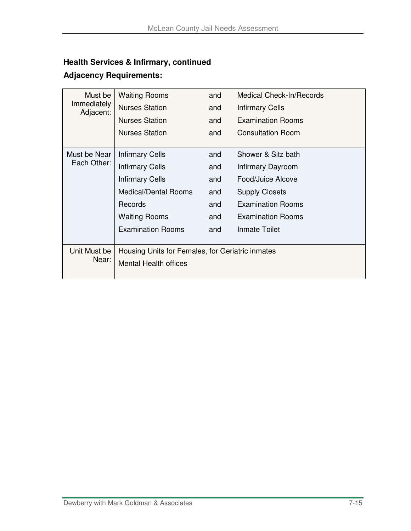## **Health Services & Infirmary, continued**

| Must be<br>Immediately<br>Adjacent: | <b>Waiting Rooms</b>                                                             | and | <b>Medical Check-In/Records</b> |
|-------------------------------------|----------------------------------------------------------------------------------|-----|---------------------------------|
|                                     | <b>Nurses Station</b>                                                            | and | <b>Infirmary Cells</b>          |
|                                     | <b>Nurses Station</b>                                                            | and | <b>Examination Rooms</b>        |
|                                     | <b>Nurses Station</b>                                                            | and | <b>Consultation Room</b>        |
| Must be Near                        | <b>Infirmary Cells</b>                                                           | and | Shower & Sitz bath              |
| Each Other:                         | <b>Infirmary Cells</b>                                                           | and | Infirmary Dayroom               |
|                                     | <b>Infirmary Cells</b>                                                           | and | Food/Juice Alcove               |
|                                     | <b>Medical/Dental Rooms</b>                                                      | and | <b>Supply Closets</b>           |
|                                     | <b>Records</b>                                                                   | and | <b>Examination Rooms</b>        |
|                                     | <b>Waiting Rooms</b>                                                             | and | <b>Examination Rooms</b>        |
|                                     | <b>Examination Rooms</b>                                                         | and | <b>Inmate Toilet</b>            |
| Unit Must be<br>Near:               | Housing Units for Females, for Geriatric inmates<br><b>Mental Health offices</b> |     |                                 |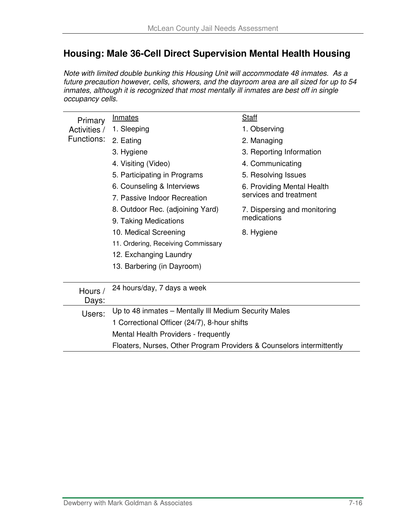## **Housing: Male 36-Cell Direct Supervision Mental Health Housing**

Note with limited double bunking this Housing Unit will accommodate 48 inmates. As a future precaution however, cells, showers, and the dayroom area are all sized for up to 54 inmates, although it is recognized that most mentally ill inmates are best off in single occupancy cells.

| Primary      | Inmates                                                               | <b>Staff</b>                 |  |  |  |  |
|--------------|-----------------------------------------------------------------------|------------------------------|--|--|--|--|
| Activities / | 1. Sleeping                                                           | 1. Observing                 |  |  |  |  |
| Functions:   | 2. Eating                                                             | 2. Managing                  |  |  |  |  |
|              | 3. Hygiene                                                            | 3. Reporting Information     |  |  |  |  |
|              | 4. Visiting (Video)                                                   | 4. Communicating             |  |  |  |  |
|              | 5. Participating in Programs                                          | 5. Resolving Issues          |  |  |  |  |
|              | 6. Counseling & Interviews                                            | 6. Providing Mental Health   |  |  |  |  |
|              | 7. Passive Indoor Recreation                                          | services and treatment       |  |  |  |  |
|              | 8. Outdoor Rec. (adjoining Yard)                                      | 7. Dispersing and monitoring |  |  |  |  |
|              | 9. Taking Medications                                                 | medications                  |  |  |  |  |
|              | 10. Medical Screening                                                 | 8. Hygiene                   |  |  |  |  |
|              | 11. Ordering, Receiving Commissary                                    |                              |  |  |  |  |
|              | 12. Exchanging Laundry                                                |                              |  |  |  |  |
|              | 13. Barbering (in Dayroom)                                            |                              |  |  |  |  |
|              |                                                                       |                              |  |  |  |  |
| Hours /      | 24 hours/day, 7 days a week                                           |                              |  |  |  |  |
| Days:        |                                                                       |                              |  |  |  |  |
| Users:       | Up to 48 inmates - Mentally III Medium Security Males                 |                              |  |  |  |  |
|              | 1 Correctional Officer (24/7), 8-hour shifts                          |                              |  |  |  |  |
|              | Mental Health Providers - frequently                                  |                              |  |  |  |  |
|              | Floaters, Nurses, Other Program Providers & Counselors intermittently |                              |  |  |  |  |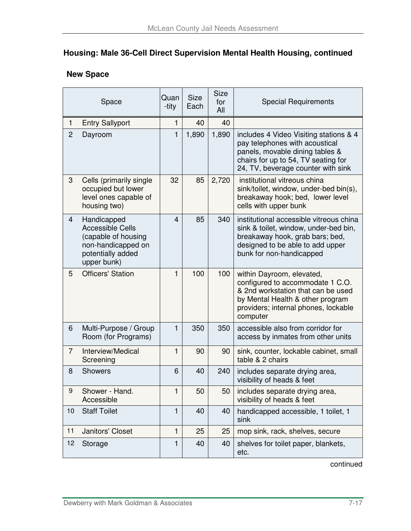## **Housing: Male 36-Cell Direct Supervision Mental Health Housing, continued**

#### **New Space**

| Space          |                                                                                                                         | Quan<br>-tity | <b>Size</b><br>Each | <b>Size</b><br>for<br>All | <b>Special Requirements</b>                                                                                                                                                                 |
|----------------|-------------------------------------------------------------------------------------------------------------------------|---------------|---------------------|---------------------------|---------------------------------------------------------------------------------------------------------------------------------------------------------------------------------------------|
| $\mathbf{1}$   | <b>Entry Sallyport</b>                                                                                                  | $\mathbf{1}$  | 40                  | 40                        |                                                                                                                                                                                             |
| $\overline{2}$ | Dayroom                                                                                                                 | $\mathbf{1}$  | 1,890               | 1,890                     | includes 4 Video Visiting stations & 4<br>pay telephones with acoustical<br>panels, movable dining tables &<br>chairs for up to 54, TV seating for<br>24, TV, beverage counter with sink    |
| 3              | Cells (primarily single<br>occupied but lower<br>level ones capable of<br>housing two)                                  | 32            | 85                  | 2,720                     | institutional vitreous china<br>sink/toilet, window, under-bed bin(s),<br>breakaway hook; bed, lower level<br>cells with upper bunk                                                         |
| 4              | Handicapped<br><b>Accessible Cells</b><br>(capable of housing<br>non-handicapped on<br>potentially added<br>upper bunk) | 4             | 85                  | 340                       | institutional accessible vitreous china<br>sink & toilet, window, under-bed bin,<br>breakaway hook, grab bars; bed,<br>designed to be able to add upper<br>bunk for non-handicapped         |
| 5              | <b>Officers' Station</b>                                                                                                | 1             | 100                 | 100                       | within Dayroom, elevated,<br>configured to accommodate 1 C.O.<br>& 2nd workstation that can be used<br>by Mental Health & other program<br>providers; internal phones, lockable<br>computer |
| 6              | Multi-Purpose / Group<br>Room (for Programs)                                                                            | $\mathbf{1}$  | 350                 | 350                       | accessible also from corridor for<br>access by inmates from other units                                                                                                                     |
| $\overline{7}$ | Interview/Medical<br>Screening                                                                                          | $\mathbf{1}$  | 90                  | 90                        | sink, counter, lockable cabinet, small<br>table & 2 chairs                                                                                                                                  |
| 8              | <b>Showers</b>                                                                                                          | 6             | 40                  | 240                       | includes separate drying area,<br>visibility of heads & feet                                                                                                                                |
| 9              | Shower - Hand.<br>Accessible                                                                                            | 1             | 50                  | 50                        | includes separate drying area,<br>visibility of heads & feet                                                                                                                                |
| 10             | <b>Staff Toilet</b>                                                                                                     | $\mathbf{1}$  | 40                  | 40                        | handicapped accessible, 1 toilet, 1<br>sink                                                                                                                                                 |
| 11             | Janitors' Closet                                                                                                        | $\mathbf{1}$  | 25                  | 25                        | mop sink, rack, shelves, secure                                                                                                                                                             |
| 12             | Storage                                                                                                                 | $\mathbf{1}$  | 40                  | 40                        | shelves for toilet paper, blankets,<br>etc.                                                                                                                                                 |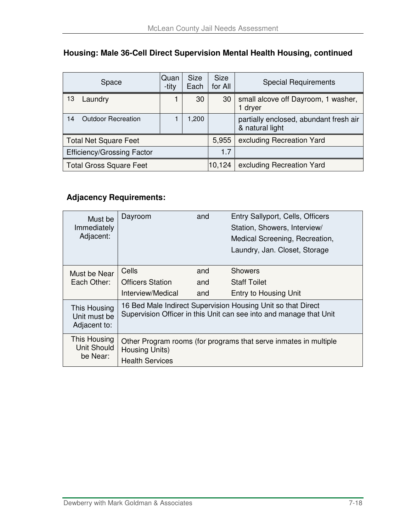|                                   | Space                          | <b>Quan</b><br>-tity | <b>Size</b><br>Each | <b>Size</b><br>for All | <b>Special Requirements</b>                               |
|-----------------------------------|--------------------------------|----------------------|---------------------|------------------------|-----------------------------------------------------------|
| 13                                | Laundry                        |                      | 30                  | 30                     | small alcove off Dayroom, 1 washer,<br>1 dryer            |
| 14                                | <b>Outdoor Recreation</b>      |                      | 1,200               |                        | partially enclosed, abundant fresh air<br>& natural light |
| <b>Total Net Square Feet</b>      |                                |                      |                     | 5,955                  | excluding Recreation Yard                                 |
| <b>Efficiency/Grossing Factor</b> |                                |                      |                     | 1.7                    |                                                           |
|                                   | <b>Total Gross Square Feet</b> |                      |                     | 10,124                 | excluding Recreation Yard                                 |

### **Housing: Male 36-Cell Direct Supervision Mental Health Housing, continued**

| Must be                                        | Dayroom                                                                                                                            | and | Entry Sallyport, Cells, Officers                                 |  |
|------------------------------------------------|------------------------------------------------------------------------------------------------------------------------------------|-----|------------------------------------------------------------------|--|
| Immediately                                    |                                                                                                                                    |     | Station, Showers, Interview/                                     |  |
| Adjacent:                                      |                                                                                                                                    |     | Medical Screening, Recreation,                                   |  |
|                                                |                                                                                                                                    |     | Laundry, Jan. Closet, Storage                                    |  |
|                                                |                                                                                                                                    |     |                                                                  |  |
| Must be Near                                   | Cells                                                                                                                              | and | <b>Showers</b>                                                   |  |
| Each Other:                                    | <b>Officers Station</b>                                                                                                            | and | <b>Staff Toilet</b>                                              |  |
|                                                | Interview/Medical                                                                                                                  | and | Entry to Housing Unit                                            |  |
| This Housing<br>Unit must be<br>Adjacent to:   | 16 Bed Male Indirect Supervision Housing Unit so that Direct<br>Supervision Officer in this Unit can see into and manage that Unit |     |                                                                  |  |
| This Housing<br><b>Unit Should</b><br>be Near: | Housing Units)                                                                                                                     |     | Other Program rooms (for programs that serve inmates in multiple |  |
|                                                | <b>Health Services</b>                                                                                                             |     |                                                                  |  |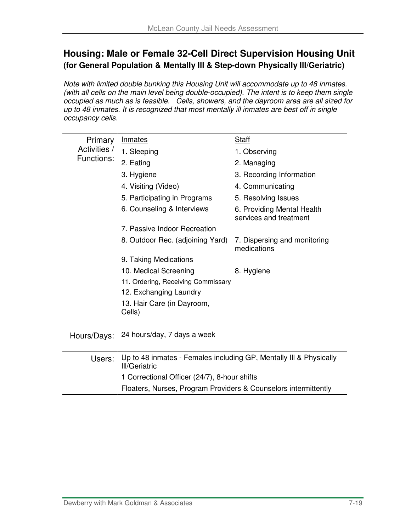## **Housing: Male or Female 32-Cell Direct Supervision Housing Unit (for General Population & Mentally Ill & Step-down Physically Ill/Geriatric)**

Note with limited double bunking this Housing Unit will accommodate up to 48 inmates. (with all cells on the main level being double-occupied). The intent is to keep them single occupied as much as is feasible. Cells, showers, and the dayroom area are all sized for up to 48 inmates. It is recognized that most mentally ill inmates are best off in single occupancy cells.

| Primary                            | <b>Inmates</b>                                                                             | <b>Staff</b>                                         |  |  |  |  |
|------------------------------------|--------------------------------------------------------------------------------------------|------------------------------------------------------|--|--|--|--|
| Activities /                       | 1. Sleeping                                                                                | 1. Observing                                         |  |  |  |  |
| Functions:                         | 2. Eating                                                                                  | 2. Managing                                          |  |  |  |  |
|                                    | 3. Hygiene                                                                                 | 3. Recording Information                             |  |  |  |  |
|                                    | 4. Visiting (Video)                                                                        | 4. Communicating                                     |  |  |  |  |
|                                    | 5. Participating in Programs                                                               | 5. Resolving Issues                                  |  |  |  |  |
|                                    | 6. Counseling & Interviews                                                                 | 6. Providing Mental Health<br>services and treatment |  |  |  |  |
|                                    | 7. Passive Indoor Recreation                                                               |                                                      |  |  |  |  |
|                                    | 8. Outdoor Rec. (adjoining Yard)                                                           | 7. Dispersing and monitoring<br>medications          |  |  |  |  |
|                                    | 9. Taking Medications                                                                      |                                                      |  |  |  |  |
|                                    | 10. Medical Screening                                                                      | 8. Hygiene                                           |  |  |  |  |
| 11. Ordering, Receiving Commissary |                                                                                            |                                                      |  |  |  |  |
|                                    | 12. Exchanging Laundry                                                                     |                                                      |  |  |  |  |
|                                    | 13. Hair Care (in Dayroom,<br>Cells)                                                       |                                                      |  |  |  |  |
| Hours/Days:                        | 24 hours/day, 7 days a week                                                                |                                                      |  |  |  |  |
| Users:                             | Up to 48 inmates - Females including GP, Mentally III & Physically<br><b>III/Geriatric</b> |                                                      |  |  |  |  |
|                                    | 1 Correctional Officer (24/7), 8-hour shifts                                               |                                                      |  |  |  |  |
|                                    | Floaters, Nurses, Program Providers & Counselors intermittently                            |                                                      |  |  |  |  |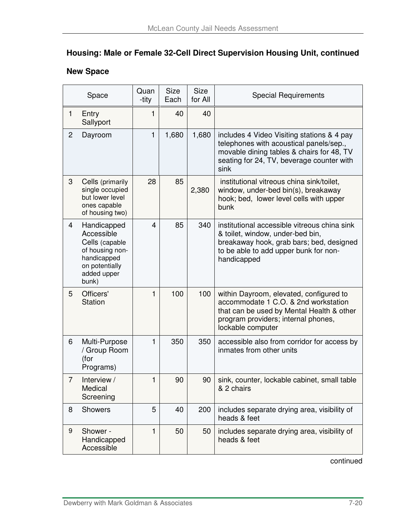## **Housing: Male or Female 32-Cell Direct Supervision Housing Unit, continued**

## **New Space**

|                | Space                                                                                                                   | Quan<br>-tity | <b>Size</b><br>Each | <b>Size</b><br>for All | <b>Special Requirements</b>                                                                                                                                                              |
|----------------|-------------------------------------------------------------------------------------------------------------------------|---------------|---------------------|------------------------|------------------------------------------------------------------------------------------------------------------------------------------------------------------------------------------|
| $\mathbf{1}$   | Entry<br>Sallyport                                                                                                      | 1             | 40                  | 40                     |                                                                                                                                                                                          |
| $\overline{c}$ | Dayroom                                                                                                                 | 1             | 1,680               | 1,680                  | includes 4 Video Visiting stations & 4 pay<br>telephones with acoustical panels/sep.,<br>movable dining tables & chairs for 48, TV<br>seating for 24, TV, beverage counter with<br>sink  |
| 3              | Cells (primarily<br>single occupied<br>but lower level<br>ones capable<br>of housing two)                               | 28            | 85                  | 2,380                  | institutional vitreous china sink/toilet,<br>window, under-bed bin(s), breakaway<br>hook; bed, lower level cells with upper<br>bunk                                                      |
| 4              | Handicapped<br>Accessible<br>Cells (capable<br>of housing non-<br>handicapped<br>on potentially<br>added upper<br>bunk) | 4             | 85                  | 340                    | institutional accessible vitreous china sink<br>& toilet, window, under-bed bin,<br>breakaway hook, grab bars; bed, designed<br>to be able to add upper bunk for non-<br>handicapped     |
| 5              | Officers'<br><b>Station</b>                                                                                             | 1             | 100                 | 100                    | within Dayroom, elevated, configured to<br>accommodate 1 C.O. & 2nd workstation<br>that can be used by Mental Health & other<br>program providers; internal phones,<br>lockable computer |
| 6              | Multi-Purpose<br>/ Group Room<br>(for<br>Programs)                                                                      | 1             | 350                 | 350                    | accessible also from corridor for access by<br>inmates from other units                                                                                                                  |
| $\overline{7}$ | Interview /<br>Medical<br>Screening                                                                                     | 1             | 90                  | 90                     | sink, counter, lockable cabinet, small table<br>& 2 chairs                                                                                                                               |
| 8              | <b>Showers</b>                                                                                                          | 5             | 40                  | 200                    | includes separate drying area, visibility of<br>heads & feet                                                                                                                             |
| 9              | Shower -<br>Handicapped<br>Accessible                                                                                   | 1             | 50                  | 50                     | includes separate drying area, visibility of<br>heads & feet                                                                                                                             |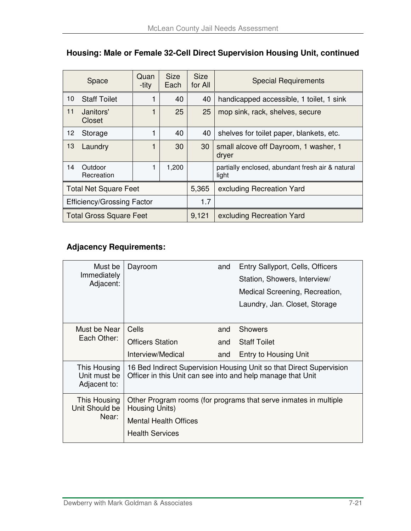|                                   | Space                          | Quan<br>-tity | <b>Size</b><br>Each | <b>Size</b><br>for All | <b>Special Requirements</b>                               |
|-----------------------------------|--------------------------------|---------------|---------------------|------------------------|-----------------------------------------------------------|
| 10                                | <b>Staff Toilet</b>            |               | 40                  | 40                     | handicapped accessible, 1 toilet, 1 sink                  |
| 11                                | Janitors'<br>Closet            |               | 25                  | 25                     | mop sink, rack, shelves, secure                           |
| 12                                | Storage                        |               | 40                  | 40                     | shelves for toilet paper, blankets, etc.                  |
| 13                                | Laundry                        |               | 30                  | 30                     | small alcove off Dayroom, 1 washer, 1<br>dryer            |
| 14                                | Outdoor<br>Recreation          |               | 1,200               |                        | partially enclosed, abundant fresh air & natural<br>light |
| <b>Total Net Square Feet</b>      |                                |               |                     | 5,365                  | excluding Recreation Yard                                 |
| <b>Efficiency/Grossing Factor</b> |                                |               |                     | 1.7                    |                                                           |
|                                   | <b>Total Gross Square Feet</b> |               |                     | 9,121                  | excluding Recreation Yard                                 |

## **Housing: Male or Female 32-Cell Direct Supervision Housing Unit, continued**

| Must be<br>Immediately<br>Adjacent:          | Dayroom                                                                            | and | Entry Sallyport, Cells, Officers<br>Station, Showers, Interview/    |  |
|----------------------------------------------|------------------------------------------------------------------------------------|-----|---------------------------------------------------------------------|--|
|                                              |                                                                                    |     | Medical Screening, Recreation,                                      |  |
|                                              |                                                                                    |     | Laundry, Jan. Closet, Storage                                       |  |
|                                              |                                                                                    |     |                                                                     |  |
| Must be Near                                 | Cells                                                                              | and | <b>Showers</b>                                                      |  |
| Each Other:                                  | Officers Station                                                                   | and | <b>Staff Toilet</b>                                                 |  |
|                                              | Interview/Medical                                                                  | and | Entry to Housing Unit                                               |  |
| This Housing<br>Unit must be<br>Adjacent to: | Officer in this Unit can see into and help manage that Unit                        |     | 16 Bed Indirect Supervision Housing Unit so that Direct Supervision |  |
| This Housing<br>Unit Should be               | Other Program rooms (for programs that serve inmates in multiple<br>Housing Units) |     |                                                                     |  |
| Near:                                        | <b>Mental Health Offices</b>                                                       |     |                                                                     |  |
|                                              | <b>Health Services</b>                                                             |     |                                                                     |  |
|                                              |                                                                                    |     |                                                                     |  |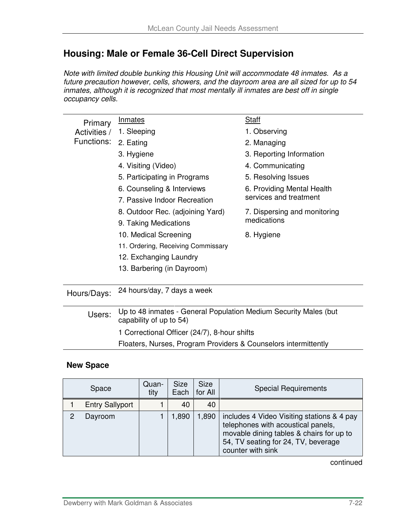## **Housing: Male or Female 36-Cell Direct Supervision**

Note with limited double bunking this Housing Unit will accommodate 48 inmates. As a future precaution however, cells, showers, and the dayroom area are all sized for up to 54 inmates, although it is recognized that most mentally ill inmates are best off in single occupancy cells.

| Primary      | <b>Inmates</b>                                                           | Staff                        |
|--------------|--------------------------------------------------------------------------|------------------------------|
| Activities / | 1. Sleeping                                                              | 1. Observing                 |
| Functions:   | 2. Eating                                                                | 2. Managing                  |
|              | 3. Hygiene                                                               | 3. Reporting Information     |
|              | 4. Visiting (Video)                                                      | 4. Communicating             |
|              | 5. Participating in Programs                                             | 5. Resolving Issues          |
|              | 6. Counseling & Interviews                                               | 6. Providing Mental Health   |
|              | 7. Passive Indoor Recreation                                             | services and treatment       |
|              | 8. Outdoor Rec. (adjoining Yard)                                         | 7. Dispersing and monitoring |
|              | 9. Taking Medications                                                    | medications                  |
|              | 10. Medical Screening                                                    | 8. Hygiene                   |
|              | 11. Ordering, Receiving Commissary                                       |                              |
|              | 12. Exchanging Laundry                                                   |                              |
|              | 13. Barbering (in Dayroom)                                               |                              |
|              |                                                                          |                              |
| Hours/Days:  | 24 hours/day, 7 days a week                                              |                              |
|              |                                                                          |                              |
|              | <u> Un to 48 inmates - General Population Medium Security Males (but</u> |                              |

| Users: | Up to 48 inmates - General Population Medium Security Males (but<br>capability of up to 54) |
|--------|---------------------------------------------------------------------------------------------|
|        | 1 Correctional Officer (24/7), 8-hour shifts                                                |

Floaters, Nurses, Program Providers & Counselors intermittently

#### **New Space**

|   | Space                  | Quan-<br>tity | <b>Size</b><br>Each | <b>Size</b><br>for All | <b>Special Requirements</b>                                                                                                                                                              |
|---|------------------------|---------------|---------------------|------------------------|------------------------------------------------------------------------------------------------------------------------------------------------------------------------------------------|
|   | <b>Entry Sallyport</b> |               | 40                  | 40                     |                                                                                                                                                                                          |
| 2 | Dayroom                |               | 1,890               | 1,890                  | includes 4 Video Visiting stations & 4 pay<br>telephones with acoustical panels,<br>movable dining tables & chairs for up to<br>54, TV seating for 24, TV, beverage<br>counter with sink |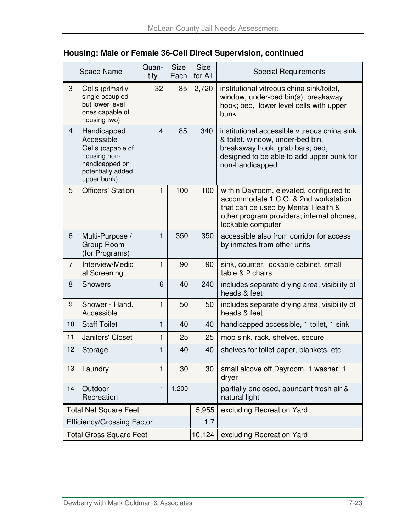| Housing: Male or Female 36-Cell Direct Supervision, continued |  |  |  |  |  |  |  |
|---------------------------------------------------------------|--|--|--|--|--|--|--|
|---------------------------------------------------------------|--|--|--|--|--|--|--|

|                | Space Name                                                                                                           | Quan-<br>tity | <b>Size</b><br>Each | <b>Size</b><br>for All | <b>Special Requirements</b>                                                                                                                                                              |
|----------------|----------------------------------------------------------------------------------------------------------------------|---------------|---------------------|------------------------|------------------------------------------------------------------------------------------------------------------------------------------------------------------------------------------|
| 3              | Cells (primarily<br>single occupied<br>but lower level<br>ones capable of<br>housing two)                            | 32            | 85                  | 2,720                  | institutional vitreous china sink/toilet,<br>window, under-bed bin(s), breakaway<br>hook; bed, lower level cells with upper<br>bunk                                                      |
| $\overline{4}$ | Handicapped<br>Accessible<br>Cells (capable of<br>housing non-<br>handicapped on<br>potentially added<br>upper bunk) | 4             | 85                  | 340                    | institutional accessible vitreous china sink<br>& toilet, window, under-bed bin,<br>breakaway hook, grab bars; bed,<br>designed to be able to add upper bunk for<br>non-handicapped      |
| 5              | <b>Officers' Station</b>                                                                                             | 1             | 100                 | 100                    | within Dayroom, elevated, configured to<br>accommodate 1 C.O. & 2nd workstation<br>that can be used by Mental Health &<br>other program providers; internal phones,<br>lockable computer |
| 6              | Multi-Purpose /<br>Group Room<br>(for Programs)                                                                      | 1             | 350                 | 350                    | accessible also from corridor for access<br>by inmates from other units                                                                                                                  |
| $\overline{7}$ | Interview/Medic<br>al Screening                                                                                      | 1             | 90                  | 90                     | sink, counter, lockable cabinet, small<br>table & 2 chairs                                                                                                                               |
| 8              | <b>Showers</b>                                                                                                       | 6             | 40                  | 240                    | includes separate drying area, visibility of<br>heads & feet                                                                                                                             |
| 9              | Shower - Hand.<br>Accessible                                                                                         | $\mathbf{1}$  | 50                  | 50                     | includes separate drying area, visibility of<br>heads & feet                                                                                                                             |
| 10             | <b>Staff Toilet</b>                                                                                                  | $\mathbf{1}$  | 40                  | 40                     | handicapped accessible, 1 toilet, 1 sink                                                                                                                                                 |
| 11             | Janitors' Closet                                                                                                     | $\mathbf{1}$  | 25                  | 25                     | mop sink, rack, shelves, secure                                                                                                                                                          |
| 12             | Storage                                                                                                              | 1             | 40                  | 40                     | shelves for toilet paper, blankets, etc.                                                                                                                                                 |
| 13             | Laundry                                                                                                              | 1             | 30                  | 30                     | small alcove off Dayroom, 1 washer, 1<br>dryer                                                                                                                                           |
| 14             | Outdoor<br>Recreation                                                                                                | 1             | 1,200               |                        | partially enclosed, abundant fresh air &<br>natural light                                                                                                                                |
|                | <b>Total Net Square Feet</b>                                                                                         |               |                     | 5,955                  | excluding Recreation Yard                                                                                                                                                                |
|                | <b>Efficiency/Grossing Factor</b>                                                                                    |               |                     | 1.7                    |                                                                                                                                                                                          |
|                | <b>Total Gross Square Feet</b>                                                                                       |               |                     | 10,124                 | excluding Recreation Yard                                                                                                                                                                |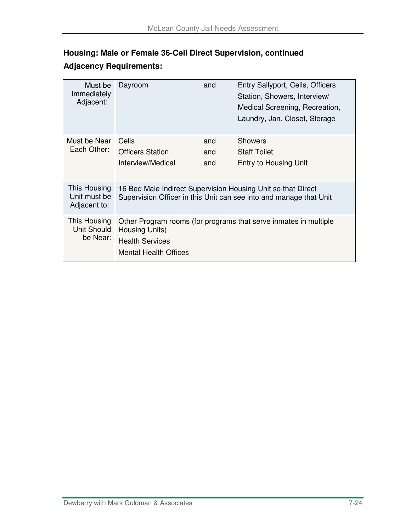## **Housing: Male or Female 36-Cell Direct Supervision, continued Adjacency Requirements:**

| Must be<br>Immediately<br>Adjacent:          | Dayroom                                                                  | and | Entry Sallyport, Cells, Officers<br>Station, Showers, Interview/<br>Medical Screening, Recreation,<br>Laundry, Jan. Closet, Storage |
|----------------------------------------------|--------------------------------------------------------------------------|-----|-------------------------------------------------------------------------------------------------------------------------------------|
| Must be Near                                 | Cells                                                                    | and | <b>Showers</b>                                                                                                                      |
| Each Other:                                  | <b>Officers Station</b>                                                  | and | <b>Staff Toilet</b>                                                                                                                 |
|                                              | Interview/Medical                                                        | and | Entry to Housing Unit                                                                                                               |
| This Housing<br>Unit must be<br>Adjacent to: |                                                                          |     | 16 Bed Male Indirect Supervision Housing Unit so that Direct<br>Supervision Officer in this Unit can see into and manage that Unit  |
| This Housing<br>Unit Should<br>be Near:      | Housing Units)<br><b>Health Services</b><br><b>Mental Health Offices</b> |     | Other Program rooms (for programs that serve inmates in multiple                                                                    |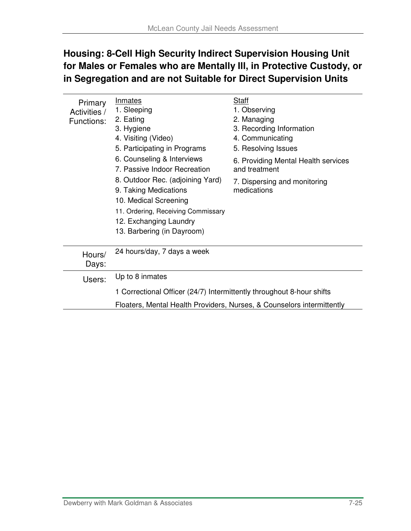## **Housing: 8-Cell High Security Indirect Supervision Housing Unit for Males or Females who are Mentally Ill, in Protective Custody, or in Segregation and are not Suitable for Direct Supervision Units**

| Primary<br>Activities /<br>Functions: | Inmates<br>1. Sleeping<br>2. Eating<br>3. Hygiene<br>4. Visiting (Video)<br>5. Participating in Programs<br>6. Counseling & Interviews<br>7. Passive Indoor Recreation<br>8. Outdoor Rec. (adjoining Yard)<br>9. Taking Medications<br>10. Medical Screening<br>11. Ordering, Receiving Commissary<br>12. Exchanging Laundry<br>13. Barbering (in Dayroom) | Staff<br>1. Observing<br>2. Managing<br>3. Recording Information<br>4. Communicating<br>5. Resolving Issues<br>6. Providing Mental Health services<br>and treatment<br>7. Dispersing and monitoring<br>medications |  |  |  |  |
|---------------------------------------|------------------------------------------------------------------------------------------------------------------------------------------------------------------------------------------------------------------------------------------------------------------------------------------------------------------------------------------------------------|--------------------------------------------------------------------------------------------------------------------------------------------------------------------------------------------------------------------|--|--|--|--|
| Hours/<br>Days:                       | 24 hours/day, 7 days a week                                                                                                                                                                                                                                                                                                                                |                                                                                                                                                                                                                    |  |  |  |  |
| Users:                                | Up to 8 inmates                                                                                                                                                                                                                                                                                                                                            |                                                                                                                                                                                                                    |  |  |  |  |
|                                       | 1 Correctional Officer (24/7) Intermittently throughout 8-hour shifts                                                                                                                                                                                                                                                                                      |                                                                                                                                                                                                                    |  |  |  |  |
|                                       | Floaters, Mental Health Providers, Nurses, & Counselors intermittently                                                                                                                                                                                                                                                                                     |                                                                                                                                                                                                                    |  |  |  |  |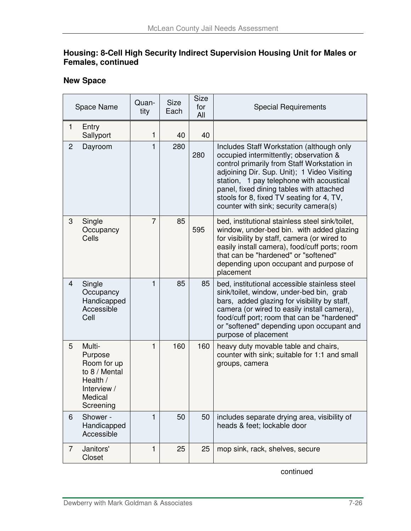#### **Housing: 8-Cell High Security Indirect Supervision Housing Unit for Males or Females, continued**

#### **New Space**

|                | Space Name                                                                                           | Quan-<br>tity  | <b>Size</b><br>Each | <b>Size</b><br>for<br>All | <b>Special Requirements</b>                                                                                                                                                                                                                                                                                                                                     |
|----------------|------------------------------------------------------------------------------------------------------|----------------|---------------------|---------------------------|-----------------------------------------------------------------------------------------------------------------------------------------------------------------------------------------------------------------------------------------------------------------------------------------------------------------------------------------------------------------|
| 1              | Entry<br>Sallyport                                                                                   | 1              | 40                  | 40                        |                                                                                                                                                                                                                                                                                                                                                                 |
| $\overline{2}$ | Dayroom                                                                                              | 1              | 280                 | 280                       | Includes Staff Workstation (although only<br>occupied intermittently; observation &<br>control primarily from Staff Workstation in<br>adjoining Dir. Sup. Unit); 1 Video Visiting<br>station, 1 pay telephone with acoustical<br>panel, fixed dining tables with attached<br>stools for 8, fixed TV seating for 4, TV,<br>counter with sink; security camera(s) |
| 3              | Single<br>Occupancy<br>Cells                                                                         | $\overline{7}$ | 85                  | 595                       | bed, institutional stainless steel sink/toilet,<br>window, under-bed bin. with added glazing<br>for visibility by staff, camera (or wired to<br>easily install camera), food/cuff ports; room<br>that can be "hardened" or "softened"<br>depending upon occupant and purpose of<br>placement                                                                    |
| $\overline{4}$ | Single<br>Occupancy<br>Handicapped<br>Accessible<br>Cell                                             | 1              | 85                  | 85                        | bed, institutional accessible stainless steel<br>sink/toilet, window, under-bed bin, grab<br>bars, added glazing for visibility by staff,<br>camera (or wired to easily install camera),<br>food/cuff port; room that can be "hardened"<br>or "softened" depending upon occupant and<br>purpose of placement                                                    |
| 5              | Multi-<br>Purpose<br>Room for up<br>to 8 / Mental<br>Health /<br>Interview /<br>Medical<br>Screening | 1              | 160                 | 160                       | heavy duty movable table and chairs,<br>counter with sink; suitable for 1:1 and small<br>groups, camera                                                                                                                                                                                                                                                         |
| 6              | Shower -<br>Handicapped<br>Accessible                                                                | 1              | 50                  | 50                        | includes separate drying area, visibility of<br>heads & feet; lockable door                                                                                                                                                                                                                                                                                     |
| $\overline{7}$ | Janitors'<br>Closet                                                                                  | 1              | 25                  | 25                        | mop sink, rack, shelves, secure                                                                                                                                                                                                                                                                                                                                 |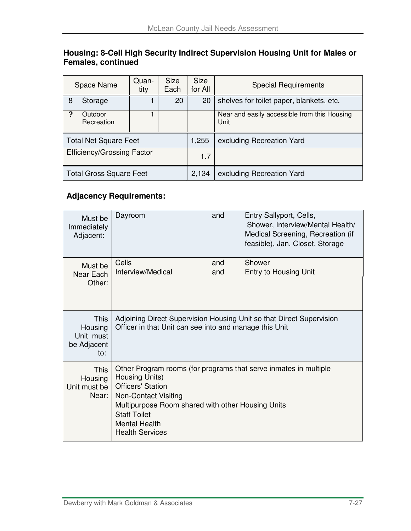#### **Housing: 8-Cell High Security Indirect Supervision Housing Unit for Males or Females, continued**

| Space Name                        |                                | Quan-<br>tity | <b>Size</b><br>Each | <b>Size</b><br>for All | <b>Special Requirements</b>                          |
|-----------------------------------|--------------------------------|---------------|---------------------|------------------------|------------------------------------------------------|
| 8                                 | Storage                        |               | 20                  | 20                     | shelves for toilet paper, blankets, etc.             |
| 2                                 | Outdoor<br>Recreation          |               |                     |                        | Near and easily accessible from this Housing<br>Unit |
| <b>Total Net Square Feet</b>      |                                |               |                     | 1,255                  | excluding Recreation Yard                            |
| <b>Efficiency/Grossing Factor</b> |                                |               |                     | 1.7                    |                                                      |
|                                   | <b>Total Gross Square Feet</b> |               |                     | 2,134                  | excluding Recreation Yard                            |

| Must be<br>Immediately<br>Adjacent:                | Dayroom                                                                                                                                                                                                                                                                     | and        | Entry Sallyport, Cells,<br>Shower, Interview/Mental Health/<br>Medical Screening, Recreation (if<br>feasible), Jan. Closet, Storage |  |  |
|----------------------------------------------------|-----------------------------------------------------------------------------------------------------------------------------------------------------------------------------------------------------------------------------------------------------------------------------|------------|-------------------------------------------------------------------------------------------------------------------------------------|--|--|
| Must be<br>Near Each<br>Other:                     | Cells<br>Interview/Medical                                                                                                                                                                                                                                                  | and<br>and | Shower<br>Entry to Housing Unit                                                                                                     |  |  |
| This<br>Housing<br>Unit must<br>be Adjacent<br>to: | Adjoining Direct Supervision Housing Unit so that Direct Supervision<br>Officer in that Unit can see into and manage this Unit                                                                                                                                              |            |                                                                                                                                     |  |  |
| <b>This</b><br>Housing<br>Unit must be<br>Near:    | Other Program rooms (for programs that serve inmates in multiple<br>Housing Units)<br><b>Officers' Station</b><br><b>Non-Contact Visiting</b><br>Multipurpose Room shared with other Housing Units<br><b>Staff Toilet</b><br><b>Mental Health</b><br><b>Health Services</b> |            |                                                                                                                                     |  |  |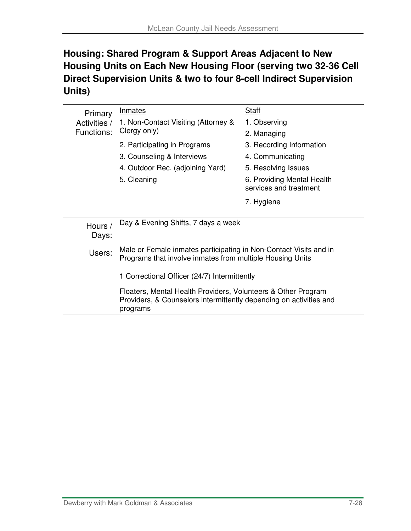## **Housing: Shared Program & Support Areas Adjacent to New Housing Units on Each New Housing Floor (serving two 32-36 Cell Direct Supervision Units & two to four 8-cell Indirect Supervision Units)**

| Primary                                                                                                                                                                                         | <b>Inmates</b>                                                                                                                 | Staff                                                |  |  |  |  |
|-------------------------------------------------------------------------------------------------------------------------------------------------------------------------------------------------|--------------------------------------------------------------------------------------------------------------------------------|------------------------------------------------------|--|--|--|--|
| Activities /                                                                                                                                                                                    | 1. Non-Contact Visiting (Attorney &                                                                                            | 1. Observing                                         |  |  |  |  |
| Functions:                                                                                                                                                                                      | Clergy only)                                                                                                                   | 2. Managing                                          |  |  |  |  |
|                                                                                                                                                                                                 | 2. Participating in Programs                                                                                                   | 3. Recording Information                             |  |  |  |  |
|                                                                                                                                                                                                 | 3. Counseling & Interviews                                                                                                     | 4. Communicating                                     |  |  |  |  |
|                                                                                                                                                                                                 | 4. Outdoor Rec. (adjoining Yard)                                                                                               | 5. Resolving Issues                                  |  |  |  |  |
|                                                                                                                                                                                                 | 5. Cleaning                                                                                                                    | 6. Providing Mental Health<br>services and treatment |  |  |  |  |
|                                                                                                                                                                                                 |                                                                                                                                | 7. Hygiene                                           |  |  |  |  |
|                                                                                                                                                                                                 |                                                                                                                                |                                                      |  |  |  |  |
| Hours /<br>Days:                                                                                                                                                                                | Day & Evening Shifts, 7 days a week                                                                                            |                                                      |  |  |  |  |
| Users:                                                                                                                                                                                          | Male or Female inmates participating in Non-Contact Visits and in<br>Programs that involve inmates from multiple Housing Units |                                                      |  |  |  |  |
| 1 Correctional Officer (24/7) Intermittently<br>Floaters, Mental Health Providers, Volunteers & Other Program<br>Providers, & Counselors intermittently depending on activities and<br>programs |                                                                                                                                |                                                      |  |  |  |  |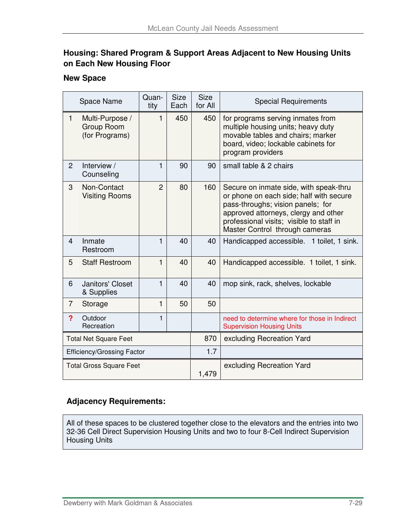#### **Housing: Shared Program & Support Areas Adjacent to New Housing Units on Each New Housing Floor**

#### **New Space**

|                                   | Space Name                                      | Quan-<br>tity  | <b>Size</b><br>Each | <b>Size</b><br>for All | <b>Special Requirements</b>                                                                                                                                                                                                                  |
|-----------------------------------|-------------------------------------------------|----------------|---------------------|------------------------|----------------------------------------------------------------------------------------------------------------------------------------------------------------------------------------------------------------------------------------------|
| 1                                 | Multi-Purpose /<br>Group Room<br>(for Programs) | 1              | 450                 | 450                    | for programs serving inmates from<br>multiple housing units; heavy duty<br>movable tables and chairs; marker<br>board, video; lockable cabinets for<br>program providers                                                                     |
| 2                                 | Interview /<br>Counseling                       | 1              | 90                  | 90                     | small table & 2 chairs                                                                                                                                                                                                                       |
| 3                                 | Non-Contact<br><b>Visiting Rooms</b>            | $\overline{2}$ | 80                  | 160                    | Secure on inmate side, with speak-thru<br>or phone on each side; half with secure<br>pass-throughs; vision panels; for<br>approved attorneys, clergy and other<br>professional visits; visible to staff in<br>Master Control through cameras |
| $\overline{4}$                    | Inmate<br>Restroom                              | 1              | 40                  | 40                     | Handicapped accessible. 1 toilet, 1 sink.                                                                                                                                                                                                    |
| 5                                 | <b>Staff Restroom</b>                           | 1              | 40                  | 40                     | Handicapped accessible. 1 toilet, 1 sink.                                                                                                                                                                                                    |
| 6                                 | Janitors' Closet<br>& Supplies                  | 1              | 40                  | 40                     | mop sink, rack, shelves, lockable                                                                                                                                                                                                            |
| 7                                 | Storage                                         | 1              | 50                  | 50                     |                                                                                                                                                                                                                                              |
| ?                                 | Outdoor<br>Recreation                           | 1              |                     |                        | need to determine where for those in Indirect<br><b>Supervision Housing Units</b>                                                                                                                                                            |
| <b>Total Net Square Feet</b>      |                                                 |                |                     | 870                    | excluding Recreation Yard                                                                                                                                                                                                                    |
| <b>Efficiency/Grossing Factor</b> |                                                 |                |                     | 1.7                    |                                                                                                                                                                                                                                              |
|                                   | <b>Total Gross Square Feet</b>                  |                |                     | 1,479                  | excluding Recreation Yard                                                                                                                                                                                                                    |

#### **Adjacency Requirements:**

All of these spaces to be clustered together close to the elevators and the entries into two 32-36 Cell Direct Supervision Housing Units and two to four 8-Cell Indirect Supervision Housing Units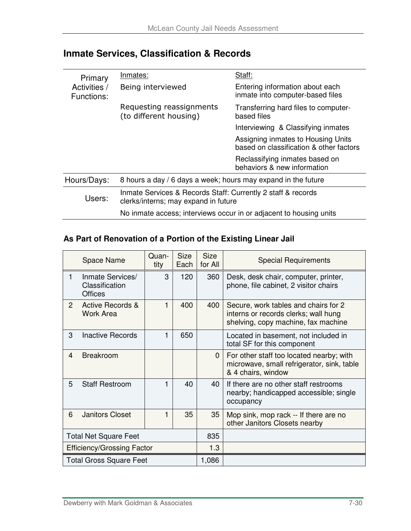| Primary                    | Inmates:                                                                                             | Staff:                                                                        |  |  |  |
|----------------------------|------------------------------------------------------------------------------------------------------|-------------------------------------------------------------------------------|--|--|--|
| Activities /<br>Functions: | Being interviewed                                                                                    | Entering information about each<br>inmate into computer-based files           |  |  |  |
|                            | Requesting reassignments<br>(to different housing)                                                   | Transferring hard files to computer-<br>based files                           |  |  |  |
|                            |                                                                                                      | Interviewing & Classifying inmates                                            |  |  |  |
|                            |                                                                                                      | Assigning inmates to Housing Units<br>based on classification & other factors |  |  |  |
|                            |                                                                                                      | Reclassifying inmates based on<br>behaviors & new information                 |  |  |  |
| Hours/Days:                | 8 hours a day / 6 days a week; hours may expand in the future                                        |                                                                               |  |  |  |
| Users:                     | Inmate Services & Records Staff: Currently 2 staff & records<br>clerks/interns; may expand in future |                                                                               |  |  |  |
|                            | No inmate access; interviews occur in or adjacent to housing units                                   |                                                                               |  |  |  |

## **Inmate Services, Classification & Records**

#### **As Part of Renovation of a Portion of the Existing Linear Jail**

|                                   | Space Name                                           | Quan-<br>tity | <b>Size</b><br>Each | <b>Size</b><br>for All | <b>Special Requirements</b>                                                                                         |
|-----------------------------------|------------------------------------------------------|---------------|---------------------|------------------------|---------------------------------------------------------------------------------------------------------------------|
| $\mathbf{1}$                      | Inmate Services/<br>Classification<br><b>Offices</b> | 3             | 120                 | 360                    | Desk, desk chair, computer, printer,<br>phone, file cabinet, 2 visitor chairs                                       |
| $\mathbf{2}$                      | <b>Active Records &amp;</b><br><b>Work Area</b>      | 1             | 400                 | 400                    | Secure, work tables and chairs for 2<br>interns or records clerks; wall hung<br>shelving, copy machine, fax machine |
| 3                                 | <b>Inactive Records</b>                              | 1             | 650                 |                        | Located in basement, not included in<br>total SF for this component                                                 |
| 4                                 | <b>Breakroom</b>                                     |               |                     | $\mathbf{0}$           | For other staff too located nearby; with<br>microwave, small refrigerator, sink, table<br>& 4 chairs, window        |
| 5                                 | <b>Staff Restroom</b>                                | 1             | 40                  | 40                     | If there are no other staff restrooms<br>nearby; handicapped accessible; single<br>occupancy                        |
| 6                                 | <b>Janitors Closet</b>                               | 1             | 35                  | 35                     | Mop sink, mop rack -- If there are no<br>other Janitors Closets nearby                                              |
| <b>Total Net Square Feet</b>      |                                                      |               |                     | 835                    |                                                                                                                     |
| <b>Efficiency/Grossing Factor</b> |                                                      |               |                     | 1.3                    |                                                                                                                     |
|                                   | <b>Total Gross Square Feet</b>                       |               |                     | 1,086                  |                                                                                                                     |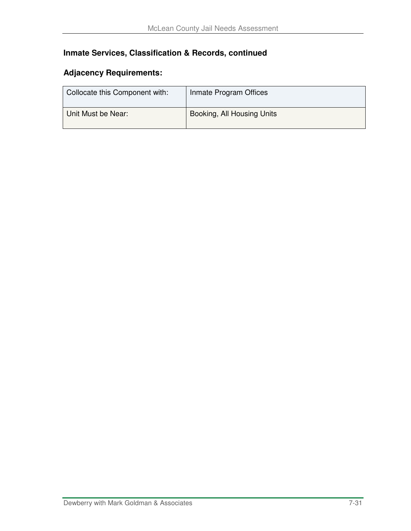## **Inmate Services, Classification & Records, continued**

| Collocate this Component with: | Inmate Program Offices     |
|--------------------------------|----------------------------|
| Unit Must be Near:             | Booking, All Housing Units |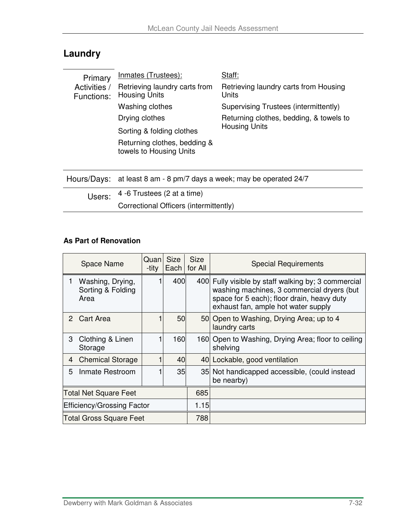## **Laundry**

| Primary                                                                 | <b>Inmates (Trustees):</b>                              | Staff:                                         |  |  |  |
|-------------------------------------------------------------------------|---------------------------------------------------------|------------------------------------------------|--|--|--|
| Activities /<br>Functions:                                              | Retrieving laundry carts from<br><b>Housing Units</b>   | Retrieving laundry carts from Housing<br>Units |  |  |  |
|                                                                         | Washing clothes                                         | Supervising Trustees (intermittently)          |  |  |  |
|                                                                         | Drying clothes                                          | Returning clothes, bedding, & towels to        |  |  |  |
|                                                                         | Sorting & folding clothes                               | <b>Housing Units</b>                           |  |  |  |
|                                                                         | Returning clothes, bedding &<br>towels to Housing Units |                                                |  |  |  |
| at least 8 am - 8 pm/7 days a week; may be operated 24/7<br>Hours/Days: |                                                         |                                                |  |  |  |

| Users: | 4 -6 Trustees (2 at a time)            |
|--------|----------------------------------------|
|        | Correctional Officers (intermittently) |

#### **As Part of Renovation**

|                              | <b>Space Name</b>                             | Quan<br>-tity | <b>Size</b><br>Each | <b>Size</b><br>for All | <b>Special Requirements</b>                                                                                                                                                            |
|------------------------------|-----------------------------------------------|---------------|---------------------|------------------------|----------------------------------------------------------------------------------------------------------------------------------------------------------------------------------------|
| 1                            | Washing, Drying,<br>Sorting & Folding<br>Area |               | 400                 |                        | 400 Fully visible by staff walking by; 3 commercial<br>washing machines, 3 commercial dryers (but<br>space for 5 each); floor drain, heavy duty<br>exhaust fan, ample hot water supply |
| 2                            | <b>Cart Area</b>                              |               | 50                  |                        | 50 Open to Washing, Drying Area; up to 4<br>laundry carts                                                                                                                              |
| 3                            | Clothing & Linen<br>Storage                   |               | 160                 |                        | 160 Open to Washing, Drying Area; floor to ceiling<br>shelving                                                                                                                         |
| 4                            | <b>Chemical Storage</b>                       |               | 40                  |                        | 40 Lockable, good ventilation                                                                                                                                                          |
| 5                            | Inmate Restroom                               |               | 35                  |                        | 35 Not handicapped accessible, (could instead<br>be nearby)                                                                                                                            |
| <b>Total Net Square Feet</b> |                                               |               |                     | 685                    |                                                                                                                                                                                        |
| Efficiency/Grossing Factor   |                                               |               |                     | 1.15                   |                                                                                                                                                                                        |
|                              | <b>Total Gross Square Feet</b>                |               |                     | 788                    |                                                                                                                                                                                        |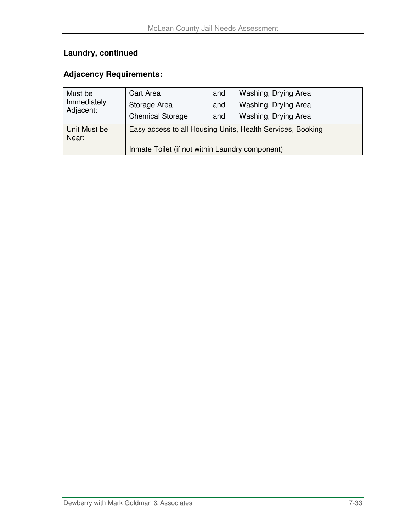## **Laundry, continued**

| Must be               | Cart Area                                                  | and | Washing, Drying Area |  |  |  |  |
|-----------------------|------------------------------------------------------------|-----|----------------------|--|--|--|--|
| Immediately           | Storage Area                                               | and | Washing, Drying Area |  |  |  |  |
| Adjacent:             | <b>Chemical Storage</b>                                    | and | Washing, Drying Area |  |  |  |  |
| Unit Must be<br>Near: | Easy access to all Housing Units, Health Services, Booking |     |                      |  |  |  |  |
|                       | Inmate Toilet (if not within Laundry component)            |     |                      |  |  |  |  |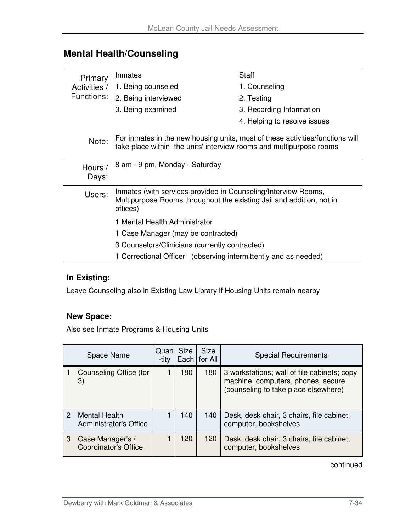## **Mental Health/Counseling**

| Primary                                                         | <b>Inmates</b>                                                                                                                                       | Staff                        |  |  |  |  |  |
|-----------------------------------------------------------------|------------------------------------------------------------------------------------------------------------------------------------------------------|------------------------------|--|--|--|--|--|
| Activities /                                                    | 1. Being counseled                                                                                                                                   | 1. Counseling                |  |  |  |  |  |
| Functions:                                                      | 2. Being interviewed                                                                                                                                 | 2. Testing                   |  |  |  |  |  |
|                                                                 | 3. Being examined                                                                                                                                    | 3. Recording Information     |  |  |  |  |  |
|                                                                 |                                                                                                                                                      | 4. Helping to resolve issues |  |  |  |  |  |
| Note:                                                           | For inmates in the new housing units, most of these activities/functions will<br>take place within the units' interview rooms and multipurpose rooms |                              |  |  |  |  |  |
| Hours /<br>Days:                                                | 8 am - 9 pm, Monday - Saturday                                                                                                                       |                              |  |  |  |  |  |
| Users:                                                          | Inmates (with services provided in Counseling/Interview Rooms,<br>Multipurpose Rooms throughout the existing Jail and addition, not in<br>offices)   |                              |  |  |  |  |  |
|                                                                 | 1 Mental Health Administrator                                                                                                                        |                              |  |  |  |  |  |
|                                                                 | 1 Case Manager (may be contracted)                                                                                                                   |                              |  |  |  |  |  |
|                                                                 | 3 Counselors/Clinicians (currently contracted)                                                                                                       |                              |  |  |  |  |  |
| 1 Correctional Officer (observing intermittently and as needed) |                                                                                                                                                      |                              |  |  |  |  |  |

## **In Existing:**

Leave Counseling also in Existing Law Library if Housing Units remain nearby

#### **New Space:**

Also see Inmate Programs & Housing Units

|   | Space Name                                            | Quan<br>-tity | <b>Size</b> | <b>Size</b><br>Each   for All | <b>Special Requirements</b>                                                                                               |
|---|-------------------------------------------------------|---------------|-------------|-------------------------------|---------------------------------------------------------------------------------------------------------------------------|
|   | Counseling Office (for<br>3)                          |               | 180         | 180                           | 3 workstations; wall of file cabinets; copy<br>machine, computers, phones, secure<br>(counseling to take place elsewhere) |
| 2 | <b>Mental Health</b><br><b>Administrator's Office</b> |               | 140         | 140                           | Desk, desk chair, 3 chairs, file cabinet,<br>computer, bookshelves                                                        |
| 3 | Case Manager's /<br><b>Coordinator's Office</b>       |               | 120         | 120                           | Desk, desk chair, 3 chairs, file cabinet,<br>computer, bookshelves                                                        |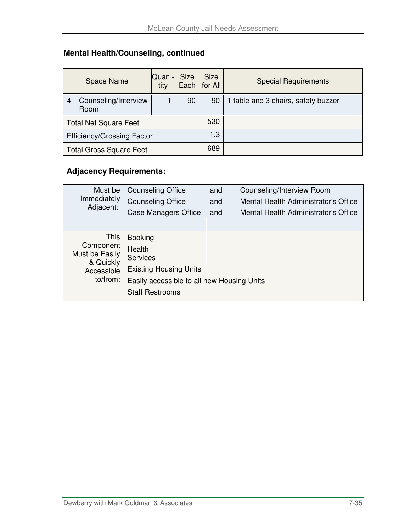## **Mental Health/Counseling, continued**

|                                   | <b>Space Name</b>            | <b>Quan</b> -<br>tity | Size | Size<br>Each   for All | <b>Special Requirements</b>         |
|-----------------------------------|------------------------------|-----------------------|------|------------------------|-------------------------------------|
| 4                                 | Counseling/Interview<br>Room |                       | 90   | 90                     | 1 table and 3 chairs, safety buzzer |
| <b>Total Net Square Feet</b>      |                              |                       |      | 530                    |                                     |
| <b>Efficiency/Grossing Factor</b> |                              |                       |      | 1.3                    |                                     |
| <b>Total Gross Square Feet</b>    |                              |                       |      | 689                    |                                     |

| Must be                                  | <b>Counseling Office</b>                   | and | Counseling/Interview Room            |  |  |  |
|------------------------------------------|--------------------------------------------|-----|--------------------------------------|--|--|--|
| Immediately                              | <b>Counseling Office</b>                   | and | Mental Health Administrator's Office |  |  |  |
| Adjacent:                                | <b>Case Managers Office</b>                | and | Mental Health Administrator's Office |  |  |  |
|                                          |                                            |     |                                      |  |  |  |
| <b>This</b>                              | <b>Booking</b>                             |     |                                      |  |  |  |
| Component<br>Must be Easily<br>& Quickly | Health<br><b>Services</b>                  |     |                                      |  |  |  |
| Accessible                               | <b>Existing Housing Units</b>              |     |                                      |  |  |  |
| to/from:                                 | Easily accessible to all new Housing Units |     |                                      |  |  |  |
|                                          | <b>Staff Restrooms</b>                     |     |                                      |  |  |  |
|                                          |                                            |     |                                      |  |  |  |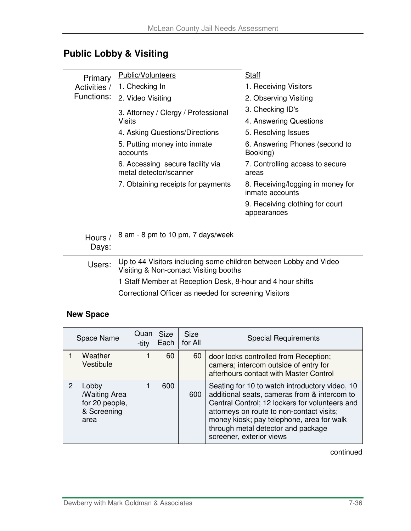## **Public Lobby & Visiting**

| Primary        | <b>Public/Volunteers</b>                                   | Staff                                                |  |
|----------------|------------------------------------------------------------|------------------------------------------------------|--|
| Activities /   | 1. Checking In                                             | 1. Receiving Visitors                                |  |
| Functions:     | 2. Video Visiting                                          | 2. Observing Visiting                                |  |
|                | 3. Attorney / Clergy / Professional                        | 3. Checking ID's                                     |  |
|                | Visits                                                     | 4. Answering Questions                               |  |
|                | 4. Asking Questions/Directions                             | 5. Resolving Issues                                  |  |
|                | 5. Putting money into inmate<br>accounts                   | 6. Answering Phones (second to<br>Booking)           |  |
|                | 6. Accessing secure facility via<br>metal detector/scanner | 7. Controlling access to secure<br>areas             |  |
|                | 7. Obtaining receipts for payments                         | 8. Receiving/logging in money for<br>inmate accounts |  |
|                |                                                            | 9. Receiving clothing for court<br>appearances       |  |
|                |                                                            |                                                      |  |
| Hours<br>Days: | 8 am - 8 pm to 10 pm, 7 days/week                          |                                                      |  |

| Users: | Up to 44 Visitors including some children between Lobby and Video<br>Visiting & Non-contact Visiting booths |
|--------|-------------------------------------------------------------------------------------------------------------|
|        | 1 Staff Member at Reception Desk, 8-hour and 4 hour shifts                                                  |
|        | Correctional Officer as needed for screening Visitors                                                       |

#### **New Space**

| Space Name    |                                                                              | Quan<br>-tity | <b>Size</b><br>Each | Size<br>for All | <b>Special Requirements</b>                                                                                                                                                                                                                                                                                  |
|---------------|------------------------------------------------------------------------------|---------------|---------------------|-----------------|--------------------------------------------------------------------------------------------------------------------------------------------------------------------------------------------------------------------------------------------------------------------------------------------------------------|
|               | Weather<br>Vestibule                                                         |               | 60                  | 60              | door locks controlled from Reception;<br>camera; intercom outside of entry for<br>afterhours contact with Master Control                                                                                                                                                                                     |
| $\mathcal{P}$ | Lobby<br><b><i>Maiting Area</i></b><br>for 20 people,<br>& Screening<br>area |               | 600                 | 600             | Seating for 10 to watch introductory video, 10<br>additional seats, cameras from & intercom to<br>Central Control; 12 lockers for volunteers and<br>attorneys on route to non-contact visits;<br>money kiosk; pay telephone, area for walk<br>through metal detector and package<br>screener, exterior views |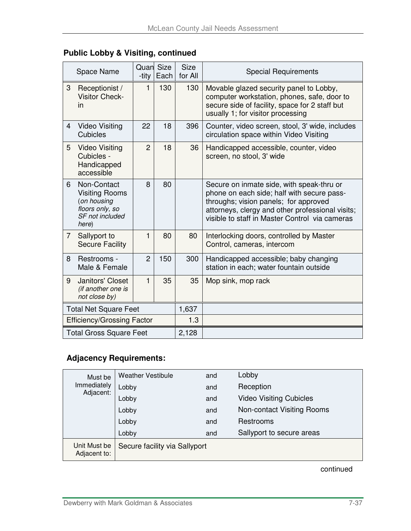|                                   | Space Name                                                                                         | <b>Quan</b> Size<br>-tity | Each | <b>Size</b><br>for All | <b>Special Requirements</b>                                                                                                                                                                                                            |
|-----------------------------------|----------------------------------------------------------------------------------------------------|---------------------------|------|------------------------|----------------------------------------------------------------------------------------------------------------------------------------------------------------------------------------------------------------------------------------|
| 3                                 | Receptionist /<br><b>Visitor Check-</b><br>in                                                      | $\mathbf{1}$              | 130  | 130                    | Movable glazed security panel to Lobby,<br>computer workstation, phones, safe, door to<br>secure side of facility, space for 2 staff but<br>usually 1; for visitor processing                                                          |
| 4                                 | <b>Video Visiting</b><br>Cubicles                                                                  | 22                        | 18   | 396                    | Counter, video screen, stool, 3' wide, includes<br>circulation space within Video Visiting                                                                                                                                             |
| 5                                 | <b>Video Visiting</b><br>Cubicles -<br>Handicapped<br>accessible                                   | $\overline{2}$            | 18   | 36                     | Handicapped accessible, counter, video<br>screen, no stool, 3' wide                                                                                                                                                                    |
| 6                                 | Non-Contact<br><b>Visiting Rooms</b><br>(on housing<br>floors only, so<br>SF not included<br>here) | 8                         | 80   |                        | Secure on inmate side, with speak-thru or<br>phone on each side; half with secure pass-<br>throughs; vision panels; for approved<br>attorneys, clergy and other professional visits;<br>visible to staff in Master Control via cameras |
| $\overline{7}$                    | Sallyport to<br><b>Secure Facility</b>                                                             | $\mathbf{1}$              | 80   | 80                     | Interlocking doors, controlled by Master<br>Control, cameras, intercom                                                                                                                                                                 |
| 8                                 | Restrooms -<br>Male & Female                                                                       | $\overline{2}$            | 150  | 300                    | Handicapped accessible; baby changing<br>station in each; water fountain outside                                                                                                                                                       |
| 9                                 | Janitors' Closet<br>(if another one is<br>not close by)                                            | 1                         | 35   | 35                     | Mop sink, mop rack                                                                                                                                                                                                                     |
| <b>Total Net Square Feet</b>      |                                                                                                    |                           |      | 1,637                  |                                                                                                                                                                                                                                        |
| <b>Efficiency/Grossing Factor</b> |                                                                                                    |                           |      | 1.3                    |                                                                                                                                                                                                                                        |
|                                   | <b>Total Gross Square Feet</b>                                                                     |                           |      | 2,128                  |                                                                                                                                                                                                                                        |

## **Public Lobby & Visiting, continued**

## **Adjacency Requirements:**

| Must be                      | <b>Weather Vestibule</b>      | and | Lobby                          |  |
|------------------------------|-------------------------------|-----|--------------------------------|--|
| Immediately                  | Lobby                         | and | Reception                      |  |
| Adjacent:                    | Lobby                         | and | <b>Video Visiting Cubicles</b> |  |
|                              | Lobby                         | and | Non-contact Visiting Rooms     |  |
|                              | Lobby                         | and | Restrooms                      |  |
|                              | Lobby                         | and | Sallyport to secure areas      |  |
| Unit Must be<br>Adjacent to: | Secure facility via Sallyport |     |                                |  |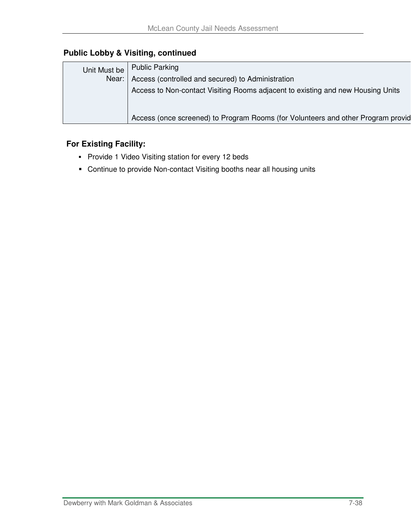## **Public Lobby & Visiting, continued**

| Unit Must be | <b>Public Parking</b>                                                            |
|--------------|----------------------------------------------------------------------------------|
| Near:        | Access (controlled and secured) to Administration                                |
|              | Access to Non-contact Visiting Rooms adjacent to existing and new Housing Units  |
|              |                                                                                  |
|              | Access (once screened) to Program Rooms (for Volunteers and other Program provid |
|              |                                                                                  |

#### **For Existing Facility:**

- **Provide 1 Video Visiting station for every 12 beds**
- Continue to provide Non-contact Visiting booths near all housing units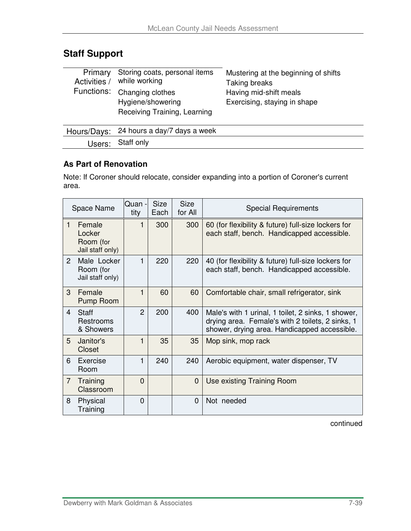## **Staff Support**

| Primary<br>Activities / | Storing coats, personal items<br>while working<br>Functions: Changing clothes<br>Hygiene/showering<br>Receiving Training, Learning | Mustering at the beginning of shifts<br>Taking breaks<br>Having mid-shift meals<br>Exercising, staying in shape |
|-------------------------|------------------------------------------------------------------------------------------------------------------------------------|-----------------------------------------------------------------------------------------------------------------|
|                         | Hours/Days: 24 hours a day/7 days a week                                                                                           |                                                                                                                 |
| Users:                  | Staff only                                                                                                                         |                                                                                                                 |

### **As Part of Renovation**

Note: If Coroner should relocate, consider expanding into a portion of Coroner's current area.

|                | Space Name                                        | Quan -<br>tity | <b>Size</b><br>Each | <b>Size</b><br>for All | <b>Special Requirements</b>                                                                                                                            |
|----------------|---------------------------------------------------|----------------|---------------------|------------------------|--------------------------------------------------------------------------------------------------------------------------------------------------------|
| 1              | Female<br>Locker<br>Room (for<br>Jail staff only) |                | 300                 | 300                    | 60 (for flexibility & future) full-size lockers for<br>each staff, bench. Handicapped accessible.                                                      |
| $\overline{2}$ | Male Locker<br>Room (for<br>Jail staff only)      |                | 220                 | 220                    | 40 (for flexibility & future) full-size lockers for<br>each staff, bench. Handicapped accessible.                                                      |
| 3              | Female<br>Pump Room                               | 1              | 60                  | 60                     | Comfortable chair, small refrigerator, sink                                                                                                            |
| 4              | <b>Staff</b><br>Restrooms<br>& Showers            | $\overline{2}$ | 200                 | 400                    | Male's with 1 urinal, 1 toilet, 2 sinks, 1 shower,<br>drying area. Female's with 2 toilets, 2 sinks, 1<br>shower, drying area. Handicapped accessible. |
| 5              | Janitor's<br>Closet                               | 1              | 35                  | 35                     | Mop sink, mop rack                                                                                                                                     |
| 6              | Exercise<br>Room                                  | 1              | 240                 | 240                    | Aerobic equipment, water dispenser, TV                                                                                                                 |
| $\overline{7}$ | Training<br>Classroom                             | $\Omega$       |                     | 0                      | Use existing Training Room                                                                                                                             |
| 8              | Physical<br>Training                              | 0              |                     | 0                      | Not needed                                                                                                                                             |

continued

 $\overline{a}$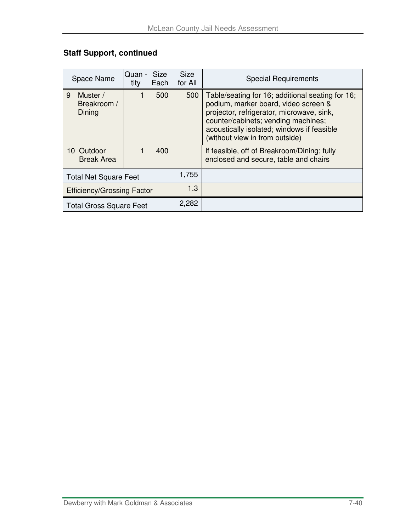## **Staff Support, continued**

| Space Name                             | Quan<br>tity | <b>Size</b><br>Each | <b>Size</b><br>for All | <b>Special Requirements</b>                                                                                                                                                                                                                                  |
|----------------------------------------|--------------|---------------------|------------------------|--------------------------------------------------------------------------------------------------------------------------------------------------------------------------------------------------------------------------------------------------------------|
| 9<br>Muster /<br>Breakroom /<br>Dining |              | 500                 | 500                    | Table/seating for 16; additional seating for 16;<br>podium, marker board, video screen &<br>projector, refrigerator, microwave, sink,<br>counter/cabinets; vending machines;<br>acoustically isolated; windows if feasible<br>(without view in from outside) |
| 10 Outdoor<br><b>Break Area</b>        |              | 400                 |                        | If feasible, off of Breakroom/Dining; fully<br>enclosed and secure, table and chairs                                                                                                                                                                         |
| <b>Total Net Square Feet</b>           |              |                     | 1,755                  |                                                                                                                                                                                                                                                              |
| <b>Efficiency/Grossing Factor</b>      |              |                     | 1.3                    |                                                                                                                                                                                                                                                              |
| <b>Total Gross Square Feet</b>         |              |                     | 2,282                  |                                                                                                                                                                                                                                                              |